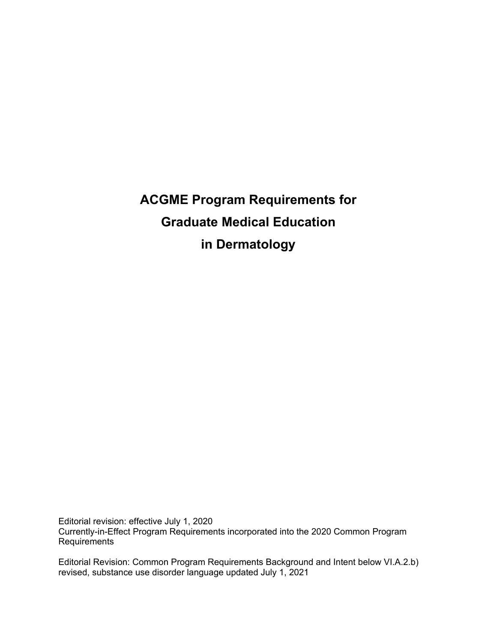**ACGME Program Requirements for Graduate Medical Education in Dermatology**

Editorial revision: effective July 1, 2020 Currently-in-Effect Program Requirements incorporated into the 2020 Common Program Requirements

Editorial Revision: Common Program Requirements Background and Intent below VI.A.2.b) revised, substance use disorder language updated July 1, 2021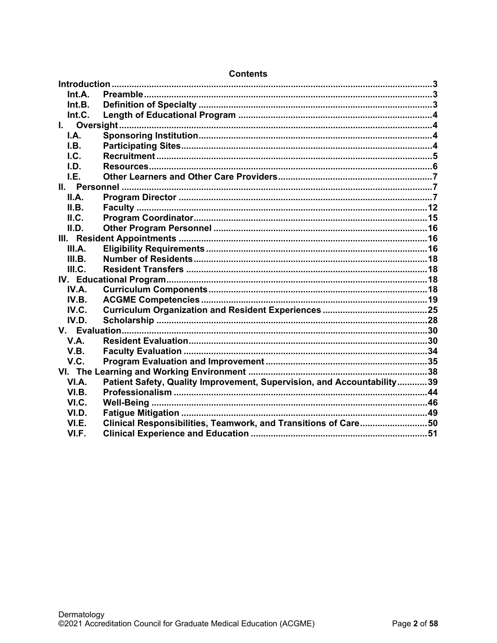| Int.A.      |                                                                        |  |
|-------------|------------------------------------------------------------------------|--|
| Int.B.      |                                                                        |  |
| Int.C.      |                                                                        |  |
|             |                                                                        |  |
| I.A.        |                                                                        |  |
| I.B.        |                                                                        |  |
| l.C.        |                                                                        |  |
| LD.         |                                                                        |  |
| I.E.        |                                                                        |  |
|             |                                                                        |  |
| II.A.       |                                                                        |  |
| II.B.       |                                                                        |  |
| ILC.        |                                                                        |  |
| II.D.       |                                                                        |  |
|             |                                                                        |  |
| III.A.      |                                                                        |  |
| III.B.      |                                                                        |  |
| III.C.      |                                                                        |  |
|             |                                                                        |  |
| IV.A.       |                                                                        |  |
| IV.B.       |                                                                        |  |
| IV.C.       |                                                                        |  |
| IV.D.       |                                                                        |  |
|             |                                                                        |  |
| <b>V.A.</b> |                                                                        |  |
| V.B.        |                                                                        |  |
| V.C.        |                                                                        |  |
|             |                                                                        |  |
| VI.A.       | Patient Safety, Quality Improvement, Supervision, and Accountability39 |  |
| VI.B.       |                                                                        |  |
| VI.C.       |                                                                        |  |
| VI.D.       |                                                                        |  |
| VI.E.       | Clinical Responsibilities, Teamwork, and Transitions of Care50         |  |
| VI.F.       |                                                                        |  |
|             |                                                                        |  |

# **Contents**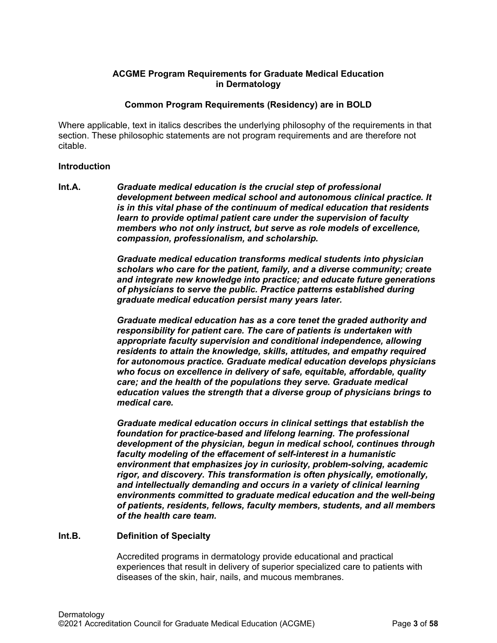## **ACGME Program Requirements for Graduate Medical Education in Dermatology**

## **Common Program Requirements (Residency) are in BOLD**

Where applicable, text in italics describes the underlying philosophy of the requirements in that section. These philosophic statements are not program requirements and are therefore not citable.

#### <span id="page-2-0"></span>**Introduction**

<span id="page-2-1"></span>**Int.A.** *Graduate medical education is the crucial step of professional development between medical school and autonomous clinical practice. It is in this vital phase of the continuum of medical education that residents learn to provide optimal patient care under the supervision of faculty members who not only instruct, but serve as role models of excellence, compassion, professionalism, and scholarship.*

> *Graduate medical education transforms medical students into physician scholars who care for the patient, family, and a diverse community; create and integrate new knowledge into practice; and educate future generations of physicians to serve the public. Practice patterns established during graduate medical education persist many years later.*

> *Graduate medical education has as a core tenet the graded authority and responsibility for patient care. The care of patients is undertaken with appropriate faculty supervision and conditional independence, allowing residents to attain the knowledge, skills, attitudes, and empathy required for autonomous practice. Graduate medical education develops physicians who focus on excellence in delivery of safe, equitable, affordable, quality care; and the health of the populations they serve. Graduate medical education values the strength that a diverse group of physicians brings to medical care.*

> *Graduate medical education occurs in clinical settings that establish the foundation for practice-based and lifelong learning. The professional development of the physician, begun in medical school, continues through faculty modeling of the effacement of self-interest in a humanistic environment that emphasizes joy in curiosity, problem-solving, academic rigor, and discovery. This transformation is often physically, emotionally, and intellectually demanding and occurs in a variety of clinical learning environments committed to graduate medical education and the well-being of patients, residents, fellows, faculty members, students, and all members of the health care team.*

#### <span id="page-2-2"></span>**Int.B. Definition of Specialty**

Accredited programs in dermatology provide educational and practical experiences that result in delivery of superior specialized care to patients with diseases of the skin, hair, nails, and mucous membranes.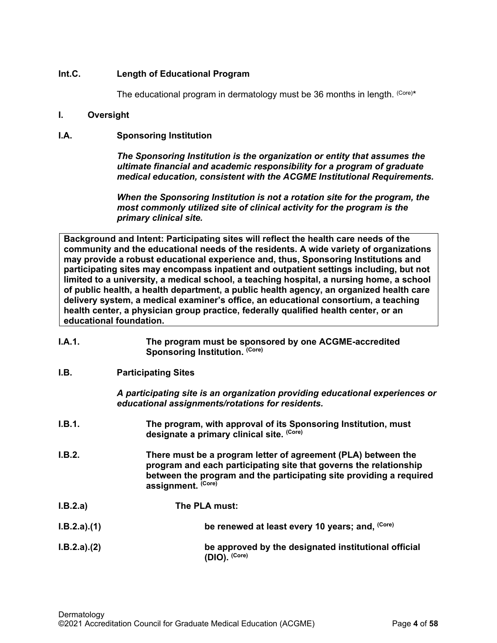# <span id="page-3-0"></span>**Int.C. Length of Educational Program**

The educational program in dermatology must be 36 months in length.  $(C$ Ore)\*

## <span id="page-3-1"></span>**I. Oversight**

# <span id="page-3-2"></span>**I.A. Sponsoring Institution**

*The Sponsoring Institution is the organization or entity that assumes the ultimate financial and academic responsibility for a program of graduate medical education, consistent with the ACGME Institutional Requirements.*

*When the Sponsoring Institution is not a rotation site for the program, the most commonly utilized site of clinical activity for the program is the primary clinical site.*

**Background and Intent: Participating sites will reflect the health care needs of the community and the educational needs of the residents. A wide variety of organizations may provide a robust educational experience and, thus, Sponsoring Institutions and participating sites may encompass inpatient and outpatient settings including, but not limited to a university, a medical school, a teaching hospital, a nursing home, a school of public health, a health department, a public health agency, an organized health care delivery system, a medical examiner's office, an educational consortium, a teaching health center, a physician group practice, federally qualified health center, or an educational foundation.**

<span id="page-3-3"></span>

| I.A.1.      | The program must be sponsored by one ACGME-accredited<br>Sponsoring Institution. (Core)                                                                                                                                         |
|-------------|---------------------------------------------------------------------------------------------------------------------------------------------------------------------------------------------------------------------------------|
| I.B.        | <b>Participating Sites</b>                                                                                                                                                                                                      |
|             | A participating site is an organization providing educational experiences or<br>educational assignments/rotations for residents.                                                                                                |
| I.B.1.      | The program, with approval of its Sponsoring Institution, must<br>designate a primary clinical site. (Core)                                                                                                                     |
| I.B.2.      | There must be a program letter of agreement (PLA) between the<br>program and each participating site that governs the relationship<br>between the program and the participating site providing a required<br>assignment. (Core) |
| I.B.2.a)    | The PLA must:                                                                                                                                                                                                                   |
| I.B.2.a)(1) | be renewed at least every 10 years; and, (Core)                                                                                                                                                                                 |
| I.B.2.a)(2) | be approved by the designated institutional official<br>(DIO). (Core)                                                                                                                                                           |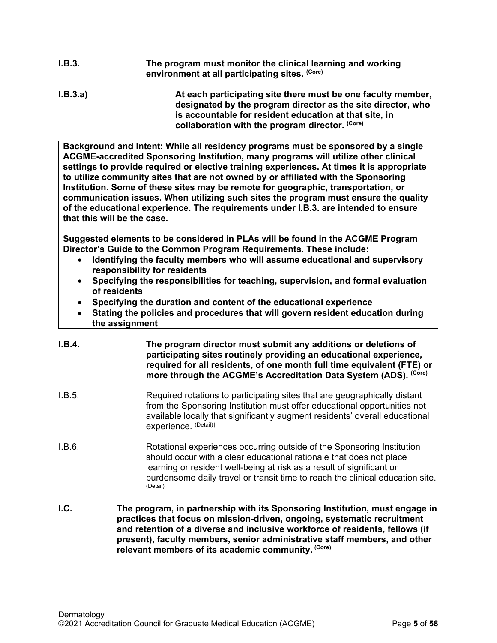- **I.B.3. The program must monitor the clinical learning and working environment at all participating sites. (Core)**
- **I.B.3.a) At each participating site there must be one faculty member, designated by the program director as the site director, who is accountable for resident education at that site, in collaboration with the program director. (Core)**

**Background and Intent: While all residency programs must be sponsored by a single ACGME-accredited Sponsoring Institution, many programs will utilize other clinical settings to provide required or elective training experiences. At times it is appropriate to utilize community sites that are not owned by or affiliated with the Sponsoring Institution. Some of these sites may be remote for geographic, transportation, or communication issues. When utilizing such sites the program must ensure the quality of the educational experience. The requirements under I.B.3. are intended to ensure that this will be the case.**

**Suggested elements to be considered in PLAs will be found in the ACGME Program Director's Guide to the Common Program Requirements. These include:**

- **Identifying the faculty members who will assume educational and supervisory responsibility for residents**
- **Specifying the responsibilities for teaching, supervision, and formal evaluation of residents**
- **Specifying the duration and content of the educational experience**
- **Stating the policies and procedures that will govern resident education during the assignment**
- **I.B.4. The program director must submit any additions or deletions of participating sites routinely providing an educational experience, required for all residents, of one month full time equivalent (FTE) or more through the ACGME's Accreditation Data System (ADS). (Core)**
- I.B.5. Required rotations to participating sites that are geographically distant from the Sponsoring Institution must offer educational opportunities not available locally that significantly augment residents' overall educational experience. (Detail)†
- I.B.6. Rotational experiences occurring outside of the Sponsoring Institution should occur with a clear educational rationale that does not place learning or resident well-being at risk as a result of significant or burdensome daily travel or transit time to reach the clinical education site.<br>
(Detail)
- <span id="page-4-0"></span>**I.C. The program, in partnership with its Sponsoring Institution, must engage in practices that focus on mission-driven, ongoing, systematic recruitment and retention of a diverse and inclusive workforce of residents, fellows (if present), faculty members, senior administrative staff members, and other relevant members of its academic community. (Core)**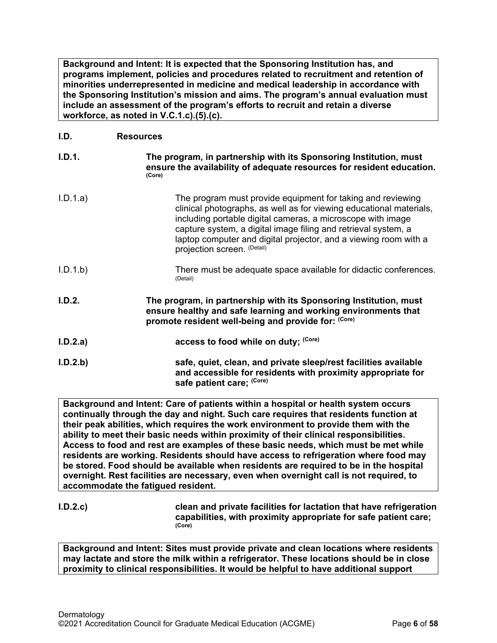**Background and Intent: It is expected that the Sponsoring Institution has, and programs implement, policies and procedures related to recruitment and retention of minorities underrepresented in medicine and medical leadership in accordance with the Sponsoring Institution's mission and aims. The program's annual evaluation must include an assessment of the program's efforts to recruit and retain a diverse workforce, as noted in V.C.1.c).(5).(c).**

# <span id="page-5-0"></span>**I.D. Resources**

| I.D.1.   | The program, in partnership with its Sponsoring Institution, must<br>ensure the availability of adequate resources for resident education.<br>(Core)                                                                                                                                                                                                                   |
|----------|------------------------------------------------------------------------------------------------------------------------------------------------------------------------------------------------------------------------------------------------------------------------------------------------------------------------------------------------------------------------|
| I.D.1.a) | The program must provide equipment for taking and reviewing<br>clinical photographs, as well as for viewing educational materials,<br>including portable digital cameras, a microscope with image<br>capture system, a digital image filing and retrieval system, a<br>laptop computer and digital projector, and a viewing room with a<br>projection screen. (Detail) |
| I.D.1.b  | There must be adequate space available for didactic conferences.<br>(Detail)                                                                                                                                                                                                                                                                                           |
| I.D.2.   | The program, in partnership with its Sponsoring Institution, must<br>ensure healthy and safe learning and working environments that<br>promote resident well-being and provide for: (Core)                                                                                                                                                                             |
| I.D.2.a) | access to food while on duty; (Core)                                                                                                                                                                                                                                                                                                                                   |
| I.D.2.b  | safe, quiet, clean, and private sleep/rest facilities available<br>and accessible for residents with proximity appropriate for<br>safe patient care; (Core)                                                                                                                                                                                                            |

**Background and Intent: Care of patients within a hospital or health system occurs continually through the day and night. Such care requires that residents function at their peak abilities, which requires the work environment to provide them with the ability to meet their basic needs within proximity of their clinical responsibilities. Access to food and rest are examples of these basic needs, which must be met while residents are working. Residents should have access to refrigeration where food may be stored. Food should be available when residents are required to be in the hospital overnight. Rest facilities are necessary, even when overnight call is not required, to accommodate the fatigued resident.**

**I.D.2.c) clean and private facilities for lactation that have refrigeration capabilities, with proximity appropriate for safe patient care; (Core)**

**Background and Intent: Sites must provide private and clean locations where residents may lactate and store the milk within a refrigerator. These locations should be in close proximity to clinical responsibilities. It would be helpful to have additional support**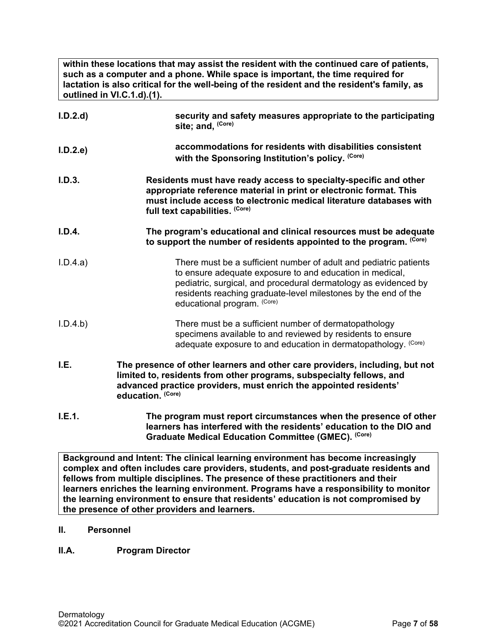**within these locations that may assist the resident with the continued care of patients, such as a computer and a phone. While space is important, the time required for lactation is also critical for the well-being of the resident and the resident's family, as outlined in VI.C.1.d).(1).**

| I.D.2.d  | security and safety measures appropriate to the participating<br>site; and, (Core)                                                                                                                                                                                                                |
|----------|---------------------------------------------------------------------------------------------------------------------------------------------------------------------------------------------------------------------------------------------------------------------------------------------------|
| I.D.2.e  | accommodations for residents with disabilities consistent<br>with the Sponsoring Institution's policy. (Core)                                                                                                                                                                                     |
| I.D.3.   | Residents must have ready access to specialty-specific and other<br>appropriate reference material in print or electronic format. This<br>must include access to electronic medical literature databases with<br>full text capabilities. (Core)                                                   |
| I.D.4.   | The program's educational and clinical resources must be adequate<br>to support the number of residents appointed to the program. (Core)                                                                                                                                                          |
| I.D.4.a) | There must be a sufficient number of adult and pediatric patients<br>to ensure adequate exposure to and education in medical,<br>pediatric, surgical, and procedural dermatology as evidenced by<br>residents reaching graduate-level milestones by the end of the<br>educational program. (Core) |
| I.D.4.b) | There must be a sufficient number of dermatopathology<br>specimens available to and reviewed by residents to ensure<br>adequate exposure to and education in dermatopathology. (Core)                                                                                                             |
| I.E.     | The presence of other learners and other care providers, including, but not<br>limited to, residents from other programs, subspecialty fellows, and<br>advanced practice providers, must enrich the appointed residents'<br>education. (Core)                                                     |
| I.E.1.   | The program must report circumstances when the presence of other<br>learners has interfered with the residents' education to the DIO and<br>Graduate Medical Education Committee (GMEC). (Core)                                                                                                   |

<span id="page-6-0"></span>**Background and Intent: The clinical learning environment has become increasingly complex and often includes care providers, students, and post-graduate residents and fellows from multiple disciplines. The presence of these practitioners and their learners enriches the learning environment. Programs have a responsibility to monitor the learning environment to ensure that residents' education is not compromised by the presence of other providers and learners.**

<span id="page-6-1"></span>**II. Personnel**

# <span id="page-6-2"></span>**II.A. Program Director**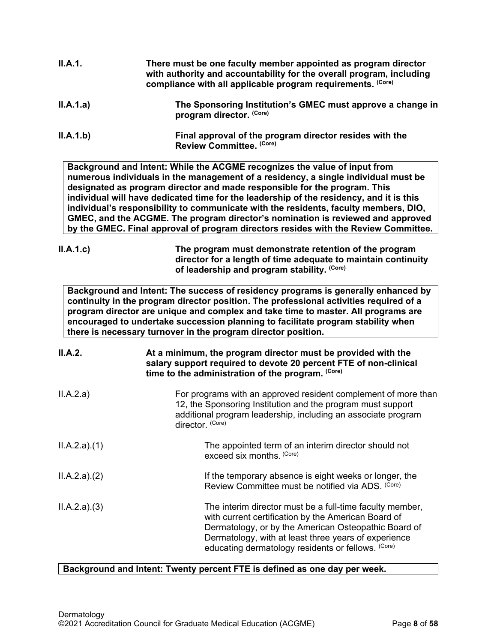| ILA.1.a)       | The Sponsoring Institution's GMEC must approve a change in<br>program director. (Core)                                                                                                                                                                                                                                                                                                                                                                                                                                                                                                                    |
|----------------|-----------------------------------------------------------------------------------------------------------------------------------------------------------------------------------------------------------------------------------------------------------------------------------------------------------------------------------------------------------------------------------------------------------------------------------------------------------------------------------------------------------------------------------------------------------------------------------------------------------|
| II.A.1.b)      | Final approval of the program director resides with the<br>Review Committee. (Core)                                                                                                                                                                                                                                                                                                                                                                                                                                                                                                                       |
|                | Background and Intent: While the ACGME recognizes the value of input from<br>numerous individuals in the management of a residency, a single individual must be<br>designated as program director and made responsible for the program. This<br>individual will have dedicated time for the leadership of the residency, and it is this<br>individual's responsibility to communicate with the residents, faculty members, DIO,<br>GMEC, and the ACGME. The program director's nomination is reviewed and approved<br>by the GMEC. Final approval of program directors resides with the Review Committee. |
| ILA.1.c)       | The program must demonstrate retention of the program<br>director for a length of time adequate to maintain continuity<br>of leadership and program stability. (Core)                                                                                                                                                                                                                                                                                                                                                                                                                                     |
|                | Background and Intent: The success of residency programs is generally enhanced by<br>continuity in the program director position. The professional activities required of a<br>program director are unique and complex and take time to master. All programs are<br>encouraged to undertake succession planning to facilitate program stability when<br>there is necessary turnover in the program director position.                                                                                                                                                                                     |
| <b>II.A.2.</b> | At a minimum, the program director must be provided with the<br>salary support required to devote 20 percent FTE of non-clinical<br>time to the administration of the program. (Core)                                                                                                                                                                                                                                                                                                                                                                                                                     |
| ILA.2.a)       | For programs with an approved resident complement of more than<br>12, the Sponsoring Institution and the program must support<br>additional program leadership, including an associate program<br>director. (Core)                                                                                                                                                                                                                                                                                                                                                                                        |
| ILA.2.a)(1)    | The appointed term of an interim director should not<br>exceed six months. (Core)                                                                                                                                                                                                                                                                                                                                                                                                                                                                                                                         |
| ILA.2.a)(2)    | If the temporary absence is eight weeks or longer, the<br>Review Committee must be notified via ADS. (Core)                                                                                                                                                                                                                                                                                                                                                                                                                                                                                               |
| ILA.2.a)(3)    | The interim director must be a full-time faculty member,<br>with current certification by the American Board of<br>Dermatology, or by the American Osteopathic Board of<br>Dermatology, with at least three years of experience<br>educating dermatology residents or fellows. (Core)                                                                                                                                                                                                                                                                                                                     |
|                | Background and Intent: Twenty percent FTE is defined as one day per week.                                                                                                                                                                                                                                                                                                                                                                                                                                                                                                                                 |
| Dermatology    | ©2021 Accreditation Council for Graduate Medical Education (ACGME)<br>Page 8 of 58                                                                                                                                                                                                                                                                                                                                                                                                                                                                                                                        |

**II.A.1. There must be one faculty member appointed as program director** 

**with authority and accountability for the overall program, including** 

**compliance with all applicable program requirements. (Core)**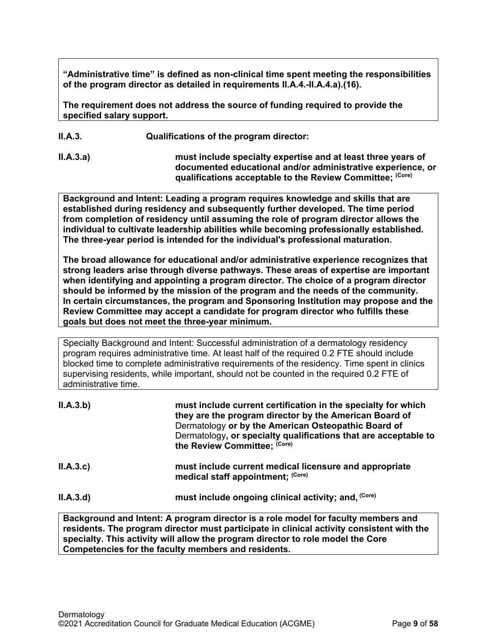**"Administrative time" is defined as non-clinical time spent meeting the responsibilities of the program director as detailed in requirements II.A.4.-II.A.4.a).(16).** 

**The requirement does not address the source of funding required to provide the specified salary support.**

**II.A.3. Qualifications of the program director:**

**II.A.3.a) must include specialty expertise and at least three years of documented educational and/or administrative experience, or qualifications acceptable to the Review Committee; (Core)**

**Background and Intent: Leading a program requires knowledge and skills that are established during residency and subsequently further developed. The time period from completion of residency until assuming the role of program director allows the individual to cultivate leadership abilities while becoming professionally established. The three-year period is intended for the individual's professional maturation.**

**The broad allowance for educational and/or administrative experience recognizes that strong leaders arise through diverse pathways. These areas of expertise are important when identifying and appointing a program director. The choice of a program director should be informed by the mission of the program and the needs of the community. In certain circumstances, the program and Sponsoring Institution may propose and the Review Committee may accept a candidate for program director who fulfills these goals but does not meet the three-year minimum.**

Specialty Background and Intent: Successful administration of a dermatology residency program requires administrative time. At least half of the required 0.2 FTE should include blocked time to complete administrative requirements of the residency. Time spent in clinics supervising residents, while important, should not be counted in the required 0.2 FTE of administrative time.

| II.A.3.b) | must include current certification in the specialty for which<br>they are the program director by the American Board of<br>Dermatology or by the American Osteopathic Board of<br>Dermatology, or specialty qualifications that are acceptable to<br>the Review Committee; (Core) |
|-----------|-----------------------------------------------------------------------------------------------------------------------------------------------------------------------------------------------------------------------------------------------------------------------------------|
| ILA.3.c   | must include current medical licensure and appropriate<br>medical staff appointment; (Core)                                                                                                                                                                                       |
| II.A.3.d  | must include ongoing clinical activity; and, (Core)                                                                                                                                                                                                                               |
|           | Reckargund and Intent: A program director is a released of faculty members and                                                                                                                                                                                                    |

**Background and Intent: A program director is a role model for faculty members and residents. The program director must participate in clinical activity consistent with the specialty. This activity will allow the program director to role model the Core Competencies for the faculty members and residents.**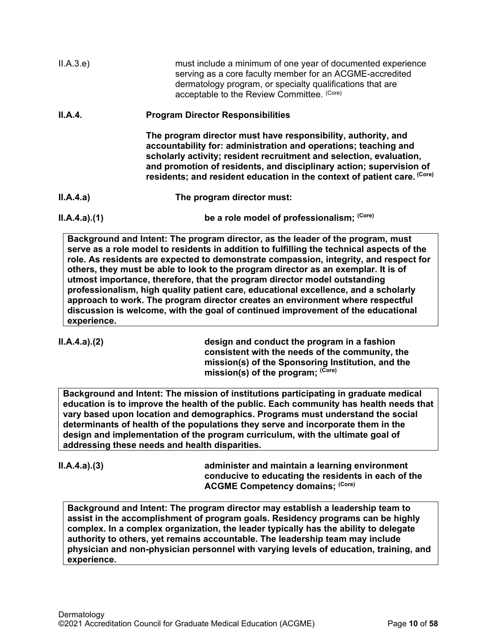| II.A.3.e)   | must include a minimum of one year of documented experience<br>serving as a core faculty member for an ACGME-accredited<br>dermatology program, or specialty qualifications that are<br>acceptable to the Review Committee. (Core)                                                                                                                         |
|-------------|------------------------------------------------------------------------------------------------------------------------------------------------------------------------------------------------------------------------------------------------------------------------------------------------------------------------------------------------------------|
| II.A.4.     | <b>Program Director Responsibilities</b>                                                                                                                                                                                                                                                                                                                   |
|             | The program director must have responsibility, authority, and<br>accountability for: administration and operations; teaching and<br>scholarly activity; resident recruitment and selection, evaluation,<br>and promotion of residents, and disciplinary action; supervision of<br>residents; and resident education in the context of patient care. (Core) |
| II.A.4.a)   | The program director must:                                                                                                                                                                                                                                                                                                                                 |
| ILA.4.a)(1) | be a role model of professionalism; (Core)                                                                                                                                                                                                                                                                                                                 |

**Background and Intent: The program director, as the leader of the program, must serve as a role model to residents in addition to fulfilling the technical aspects of the role. As residents are expected to demonstrate compassion, integrity, and respect for others, they must be able to look to the program director as an exemplar. It is of utmost importance, therefore, that the program director model outstanding professionalism, high quality patient care, educational excellence, and a scholarly approach to work. The program director creates an environment where respectful discussion is welcome, with the goal of continued improvement of the educational experience.**

**II.A.4.a).(2) design and conduct the program in a fashion consistent with the needs of the community, the mission(s) of the Sponsoring Institution, and the mission(s) of the program; (Core)**

**Background and Intent: The mission of institutions participating in graduate medical education is to improve the health of the public. Each community has health needs that vary based upon location and demographics. Programs must understand the social determinants of health of the populations they serve and incorporate them in the design and implementation of the program curriculum, with the ultimate goal of addressing these needs and health disparities.**

**II.A.4.a).(3) administer and maintain a learning environment conducive to educating the residents in each of the ACGME Competency domains; (Core)**

**Background and Intent: The program director may establish a leadership team to assist in the accomplishment of program goals. Residency programs can be highly complex. In a complex organization, the leader typically has the ability to delegate authority to others, yet remains accountable. The leadership team may include physician and non-physician personnel with varying levels of education, training, and experience.**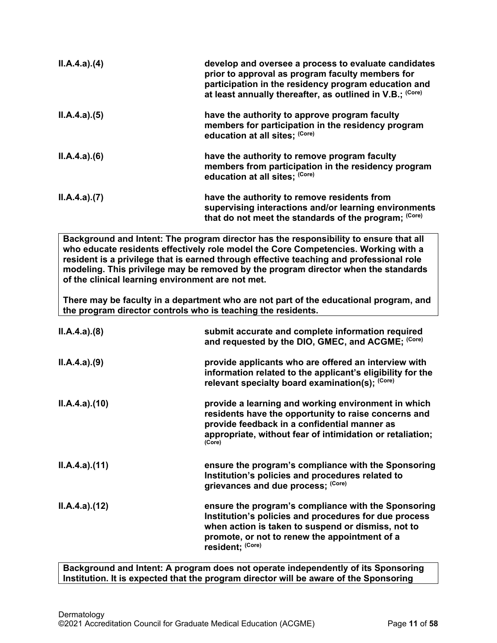| ILA.4.a)(4)                                                  | develop and oversee a process to evaluate candidates<br>prior to approval as program faculty members for<br>participation in the residency program education and<br>at least annually thereafter, as outlined in V.B.; (Core)                                                                                                                                |
|--------------------------------------------------------------|--------------------------------------------------------------------------------------------------------------------------------------------------------------------------------------------------------------------------------------------------------------------------------------------------------------------------------------------------------------|
| ILA.4.a)(5)                                                  | have the authority to approve program faculty<br>members for participation in the residency program<br>education at all sites; (Core)                                                                                                                                                                                                                        |
| ILA.4.a)(6)                                                  | have the authority to remove program faculty<br>members from participation in the residency program<br>education at all sites; (Core)                                                                                                                                                                                                                        |
| ILA.4.a)(7)                                                  | have the authority to remove residents from<br>supervising interactions and/or learning environments<br>that do not meet the standards of the program; (Core)                                                                                                                                                                                                |
| of the clinical learning environment are not met.            | Background and Intent: The program director has the responsibility to ensure that all<br>who educate residents effectively role model the Core Competencies. Working with a<br>resident is a privilege that is earned through effective teaching and professional role<br>modeling. This privilege may be removed by the program director when the standards |
| the program director controls who is teaching the residents. | There may be faculty in a department who are not part of the educational program, and                                                                                                                                                                                                                                                                        |
| ILA.4.a)(8)                                                  | submit accurate and complete information required<br>and requested by the DIO, GMEC, and ACGME; (Core)                                                                                                                                                                                                                                                       |

| provide applicants who are offered an interview with<br>information related to the applicant's eligibility for the<br>relevant specialty board examination(s); (Core) |
|-----------------------------------------------------------------------------------------------------------------------------------------------------------------------|
|                                                                                                                                                                       |
|                                                                                                                                                                       |

- **II.A.4.a).(10) provide a learning and working environment in which residents have the opportunity to raise concerns and provide feedback in a confidential manner as appropriate, without fear of intimidation or retaliation; (Core)**
- **II.A.4.a).(11) ensure the program's compliance with the Sponsoring Institution's policies and procedures related to grievances and due process; (Core)**
- **II.A.4.a).(12) ensure the program's compliance with the Sponsoring Institution's policies and procedures for due process when action is taken to suspend or dismiss, not to promote, or not to renew the appointment of a resident; (Core)**

**Background and Intent: A program does not operate independently of its Sponsoring Institution. It is expected that the program director will be aware of the Sponsoring**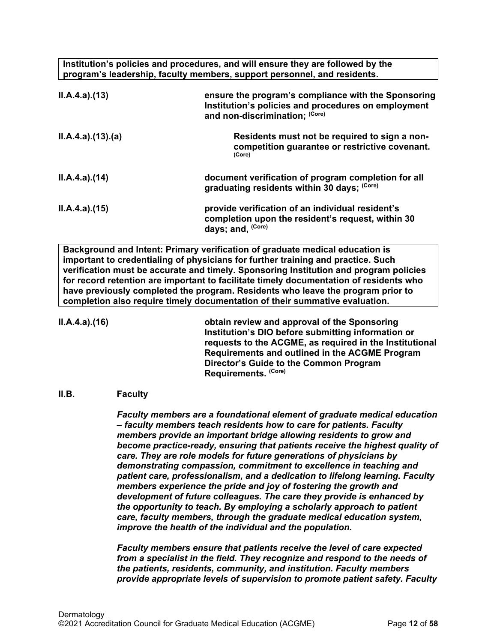**Institution's policies and procedures, and will ensure they are followed by the program's leadership, faculty members, support personnel, and residents.**

| ILA.4.a)(13)     | ensure the program's compliance with the Sponsoring<br>Institution's policies and procedures on employment<br>and non-discrimination; (Core) |
|------------------|----------------------------------------------------------------------------------------------------------------------------------------------|
| II.A.4.a)(13)(a) | Residents must not be required to sign a non-<br>competition guarantee or restrictive covenant.<br>(Core)                                    |
| ILA.4.a)(14)     | document verification of program completion for all<br>graduating residents within 30 days; (Core)                                           |
| ILA.4.a.(15)     | provide verification of an individual resident's<br>completion upon the resident's request, within 30<br>days; and, (Core)                   |

**Background and Intent: Primary verification of graduate medical education is important to credentialing of physicians for further training and practice. Such verification must be accurate and timely. Sponsoring Institution and program policies for record retention are important to facilitate timely documentation of residents who have previously completed the program. Residents who leave the program prior to completion also require timely documentation of their summative evaluation.**

**II.A.4.a).(16) obtain review and approval of the Sponsoring Institution's DIO before submitting information or requests to the ACGME, as required in the Institutional Requirements and outlined in the ACGME Program Director's Guide to the Common Program Requirements. (Core)**

# <span id="page-11-0"></span>**II.B. Faculty**

*Faculty members are a foundational element of graduate medical education – faculty members teach residents how to care for patients. Faculty members provide an important bridge allowing residents to grow and become practice-ready, ensuring that patients receive the highest quality of care. They are role models for future generations of physicians by demonstrating compassion, commitment to excellence in teaching and patient care, professionalism, and a dedication to lifelong learning. Faculty members experience the pride and joy of fostering the growth and development of future colleagues. The care they provide is enhanced by the opportunity to teach. By employing a scholarly approach to patient care, faculty members, through the graduate medical education system, improve the health of the individual and the population.*

*Faculty members ensure that patients receive the level of care expected from a specialist in the field. They recognize and respond to the needs of the patients, residents, community, and institution. Faculty members provide appropriate levels of supervision to promote patient safety. Faculty*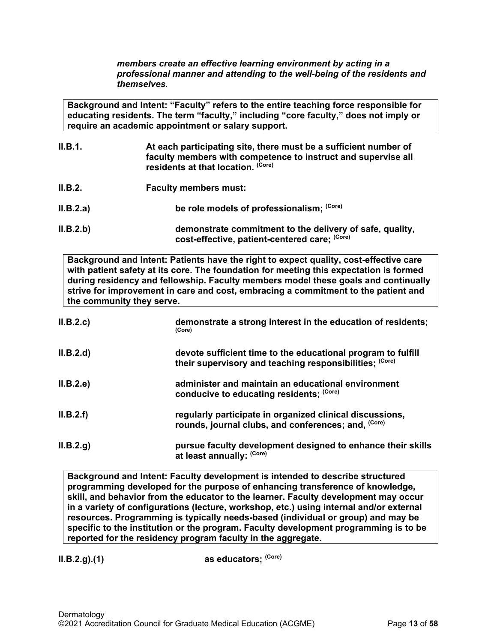*members create an effective learning environment by acting in a professional manner and attending to the well-being of the residents and themselves.*

**Background and Intent: "Faculty" refers to the entire teaching force responsible for educating residents. The term "faculty," including "core faculty," does not imply or require an academic appointment or salary support.**

| II.B.1.   | At each participating site, there must be a sufficient number of<br>faculty members with competence to instruct and supervise all<br>residents at that location. (Core) |
|-----------|-------------------------------------------------------------------------------------------------------------------------------------------------------------------------|
| II.B.2.   | <b>Faculty members must:</b>                                                                                                                                            |
| II.B.2.a) | be role models of professionalism; (Core)                                                                                                                               |
| II.B.2.b) | demonstrate commitment to the delivery of safe, quality,<br>cost-effective, patient-centered care; (Core)                                                               |

**Background and Intent: Patients have the right to expect quality, cost-effective care with patient safety at its core. The foundation for meeting this expectation is formed during residency and fellowship. Faculty members model these goals and continually strive for improvement in care and cost, embracing a commitment to the patient and the community they serve.**

| II.B.2.c  | demonstrate a strong interest in the education of residents;<br>(Core)                                                  |
|-----------|-------------------------------------------------------------------------------------------------------------------------|
| II.B.2.d  | devote sufficient time to the educational program to fulfill<br>their supervisory and teaching responsibilities; (Core) |
| II.B.2.e  | administer and maintain an educational environment<br>conducive to educating residents; (Core)                          |
| II.B.2.f  | regularly participate in organized clinical discussions,<br>rounds, journal clubs, and conferences; and, (Core)         |
| II.B.2.g. | pursue faculty development designed to enhance their skills<br>at least annually: (Core)                                |

**Background and Intent: Faculty development is intended to describe structured programming developed for the purpose of enhancing transference of knowledge, skill, and behavior from the educator to the learner. Faculty development may occur in a variety of configurations (lecture, workshop, etc.) using internal and/or external resources. Programming is typically needs-based (individual or group) and may be specific to the institution or the program. Faculty development programming is to be reported for the residency program faculty in the aggregate.**

**II.B.2.g).(1) as educators;** <sup>(Core)</sup>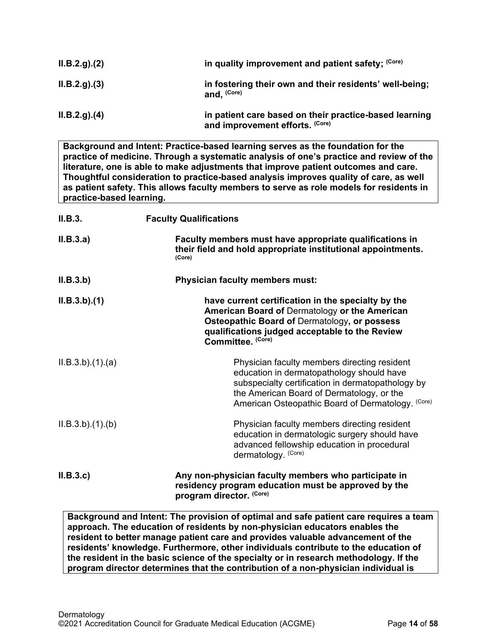| ILB.2.g. (2) | in quality improvement and patient safety; (Core)                                         |
|--------------|-------------------------------------------------------------------------------------------|
| ILB.2.g. (3) | in fostering their own and their residents' well-being;<br>and. (Core)                    |
| ILB.2.q)(4)  | in patient care based on their practice-based learning<br>and improvement efforts. (Core) |

**Background and Intent: Practice-based learning serves as the foundation for the practice of medicine. Through a systematic analysis of one's practice and review of the literature, one is able to make adjustments that improve patient outcomes and care. Thoughtful consideration to practice-based analysis improves quality of care, as well as patient safety. This allows faculty members to serve as role models for residents in practice-based learning.**

| II.B.3.        | <b>Faculty Qualifications</b>                                                                                                                                                                                                                    |
|----------------|--------------------------------------------------------------------------------------------------------------------------------------------------------------------------------------------------------------------------------------------------|
| II.B.3.a)      | Faculty members must have appropriate qualifications in<br>their field and hold appropriate institutional appointments.<br>(Core)                                                                                                                |
| II.B.3.b)      | <b>Physician faculty members must:</b>                                                                                                                                                                                                           |
| ILB.3.b)(1)    | have current certification in the specialty by the<br>American Board of Dermatology or the American<br>Osteopathic Board of Dermatology, or possess<br>qualifications judged acceptable to the Review<br>Committee. (Core)                       |
| ILB.3.b)(1)(a) | Physician faculty members directing resident<br>education in dermatopathology should have<br>subspecialty certification in dermatopathology by<br>the American Board of Dermatology, or the<br>American Osteopathic Board of Dermatology. (Core) |
| ILB.3.b)(1)(b) | Physician faculty members directing resident<br>education in dermatologic surgery should have<br>advanced fellowship education in procedural<br>dermatology. (Core)                                                                              |
| II.B.3.c       | Any non-physician faculty members who participate in<br>residency program education must be approved by the<br>program director. (Core)                                                                                                          |

**Background and Intent: The provision of optimal and safe patient care requires a team approach. The education of residents by non-physician educators enables the resident to better manage patient care and provides valuable advancement of the residents' knowledge. Furthermore, other individuals contribute to the education of the resident in the basic science of the specialty or in research methodology. If the program director determines that the contribution of a non-physician individual is**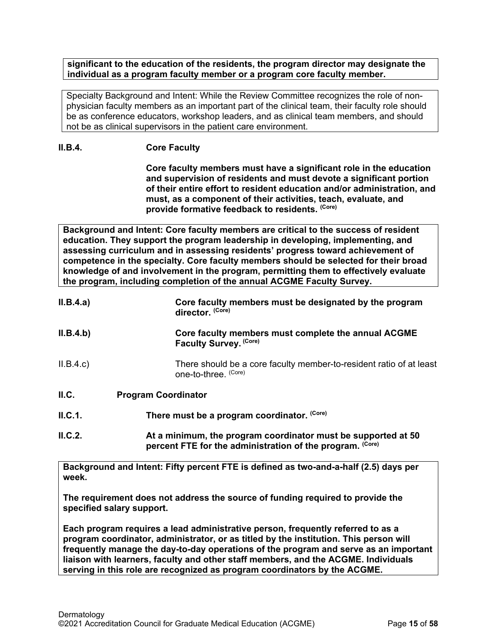**significant to the education of the residents, the program director may designate the individual as a program faculty member or a program core faculty member.**

Specialty Background and Intent: While the Review Committee recognizes the role of nonphysician faculty members as an important part of the clinical team, their faculty role should be as conference educators, workshop leaders, and as clinical team members, and should not be as clinical supervisors in the patient care environment.

# **II.B.4. Core Faculty**

**Core faculty members must have a significant role in the education and supervision of residents and must devote a significant portion of their entire effort to resident education and/or administration, and must, as a component of their activities, teach, evaluate, and provide formative feedback to residents. (Core)**

**Background and Intent: Core faculty members are critical to the success of resident education. They support the program leadership in developing, implementing, and assessing curriculum and in assessing residents' progress toward achievement of competence in the specialty. Core faculty members should be selected for their broad knowledge of and involvement in the program, permitting them to effectively evaluate the program, including completion of the annual ACGME Faculty Survey.**

| II.B.4.a) | Core faculty members must be designated by the program<br>director. (Core)                                                 |
|-----------|----------------------------------------------------------------------------------------------------------------------------|
| II.B.4.b) | Core faculty members must complete the annual ACGME<br>Faculty Survey. (Core)                                              |
| II.B.4.c  | There should be a core faculty member-to-resident ratio of at least<br>one-to-three. (Core)                                |
| II.C.     | <b>Program Coordinator</b>                                                                                                 |
| II.C.1.   | There must be a program coordinator. (Core)                                                                                |
| II.C.2.   | At a minimum, the program coordinator must be supported at 50<br>percent FTE for the administration of the program. (Core) |

<span id="page-14-0"></span>**Background and Intent: Fifty percent FTE is defined as two-and-a-half (2.5) days per week.** 

**The requirement does not address the source of funding required to provide the specified salary support.**

**Each program requires a lead administrative person, frequently referred to as a program coordinator, administrator, or as titled by the institution. This person will frequently manage the day-to-day operations of the program and serve as an important liaison with learners, faculty and other staff members, and the ACGME. Individuals serving in this role are recognized as program coordinators by the ACGME.**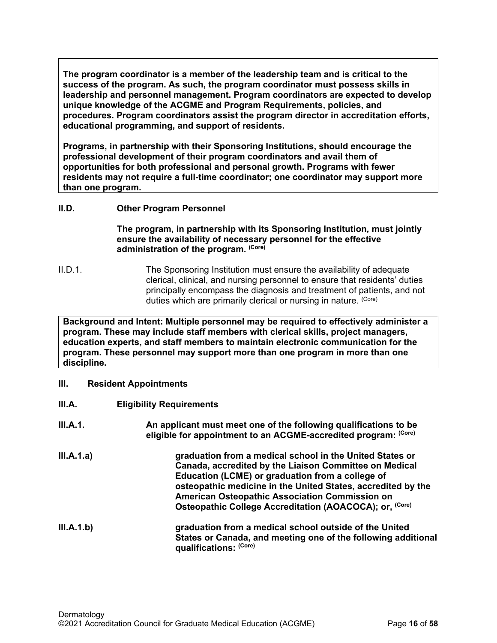**The program coordinator is a member of the leadership team and is critical to the success of the program. As such, the program coordinator must possess skills in leadership and personnel management. Program coordinators are expected to develop unique knowledge of the ACGME and Program Requirements, policies, and procedures. Program coordinators assist the program director in accreditation efforts, educational programming, and support of residents.**

**Programs, in partnership with their Sponsoring Institutions, should encourage the professional development of their program coordinators and avail them of opportunities for both professional and personal growth. Programs with fewer residents may not require a full-time coordinator; one coordinator may support more than one program.**

# <span id="page-15-0"></span>**II.D. Other Program Personnel**

**The program, in partnership with its Sponsoring Institution***,* **must jointly ensure the availability of necessary personnel for the effective administration of the program. (Core)**

II.D.1. The Sponsoring Institution must ensure the availability of adequate clerical, clinical, and nursing personnel to ensure that residents' duties principally encompass the diagnosis and treatment of patients, and not duties which are primarily clerical or nursing in nature. (Core)

**Background and Intent: Multiple personnel may be required to effectively administer a program. These may include staff members with clerical skills, project managers, education experts, and staff members to maintain electronic communication for the program. These personnel may support more than one program in more than one discipline.**

- <span id="page-15-1"></span>**III. Resident Appointments**
- <span id="page-15-2"></span>**III.A. Eligibility Requirements**

| III.A.1.   | An applicant must meet one of the following qualifications to be<br>eligible for appointment to an ACGME-accredited program: (Core)                                                                                                                                                                                                                            |
|------------|----------------------------------------------------------------------------------------------------------------------------------------------------------------------------------------------------------------------------------------------------------------------------------------------------------------------------------------------------------------|
| III.A.1.a) | graduation from a medical school in the United States or<br>Canada, accredited by the Liaison Committee on Medical<br>Education (LCME) or graduation from a college of<br>osteopathic medicine in the United States, accredited by the<br>American Osteopathic Association Commission on<br>Osteopathic College Accreditation (AOACOCA); or, <sup>(Core)</sup> |
| III.A.1.b) | graduation from a medical school outside of the United<br>States or Canada, and meeting one of the following additional<br>qualifications: (Core)                                                                                                                                                                                                              |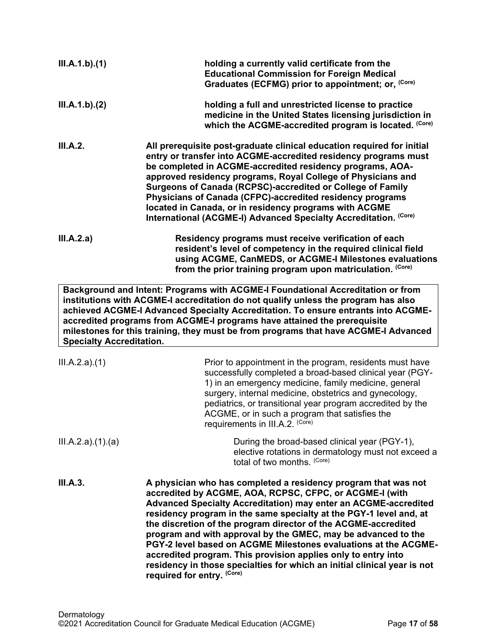| III.A.1.b)(1)                   | holding a currently valid certificate from the<br><b>Educational Commission for Foreign Medical</b><br>Graduates (ECFMG) prior to appointment; or, (Core)                                                                                                                                                                                                                                                                                                                                                                                                                                                                                                  |
|---------------------------------|------------------------------------------------------------------------------------------------------------------------------------------------------------------------------------------------------------------------------------------------------------------------------------------------------------------------------------------------------------------------------------------------------------------------------------------------------------------------------------------------------------------------------------------------------------------------------------------------------------------------------------------------------------|
| III.A.1.b)(2)                   | holding a full and unrestricted license to practice<br>medicine in the United States licensing jurisdiction in<br>which the ACGME-accredited program is located. (Core)                                                                                                                                                                                                                                                                                                                                                                                                                                                                                    |
| III.A.2.                        | All prerequisite post-graduate clinical education required for initial<br>entry or transfer into ACGME-accredited residency programs must<br>be completed in ACGME-accredited residency programs, AOA-<br>approved residency programs, Royal College of Physicians and<br>Surgeons of Canada (RCPSC)-accredited or College of Family<br>Physicians of Canada (CFPC)-accredited residency programs<br>located in Canada, or in residency programs with ACGME<br>International (ACGME-I) Advanced Specialty Accreditation. (Core)                                                                                                                            |
| III.A.2.a)                      | Residency programs must receive verification of each<br>resident's level of competency in the required clinical field<br>using ACGME, CanMEDS, or ACGME-I Milestones evaluations<br>from the prior training program upon matriculation. (Core)                                                                                                                                                                                                                                                                                                                                                                                                             |
| <b>Specialty Accreditation.</b> | Background and Intent: Programs with ACGME-I Foundational Accreditation or from<br>institutions with ACGME-I accreditation do not qualify unless the program has also<br>achieved ACGME-I Advanced Specialty Accreditation. To ensure entrants into ACGME-<br>accredited programs from ACGME-I programs have attained the prerequisite<br>milestones for this training, they must be from programs that have ACGME-I Advanced                                                                                                                                                                                                                              |
| III.A.2.a)(1)                   | Prior to appointment in the program, residents must have<br>successfully completed a broad-based clinical year (PGY-<br>1) in an emergency medicine, family medicine, general<br>surgery, internal medicine, obstetrics and gynecology,<br>pediatrics, or transitional year program accredited by the<br>ACGME, or in such a program that satisfies the<br>requirements in III.A.2. (Core)                                                                                                                                                                                                                                                                 |
| III.A.2.a)(1).(a)               | During the broad-based clinical year (PGY-1),<br>elective rotations in dermatology must not exceed a<br>total of two months. (Core)                                                                                                                                                                                                                                                                                                                                                                                                                                                                                                                        |
| III.A.3.                        | A physician who has completed a residency program that was not<br>accredited by ACGME, AOA, RCPSC, CFPC, or ACGME-I (with<br><b>Advanced Specialty Accreditation) may enter an ACGME-accredited</b><br>residency program in the same specialty at the PGY-1 level and, at<br>the discretion of the program director of the ACGME-accredited<br>program and with approval by the GMEC, may be advanced to the<br>PGY-2 level based on ACGME Milestones evaluations at the ACGME-<br>accredited program. This provision applies only to entry into<br>residency in those specialties for which an initial clinical year is not<br>required for entry. (Core) |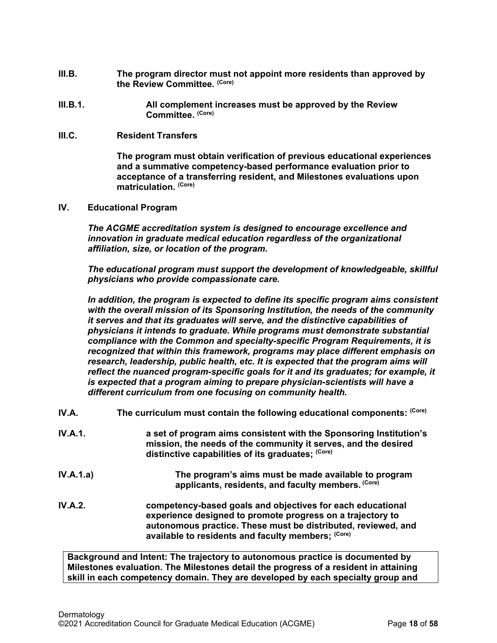- <span id="page-17-0"></span>**III.B. The program director must not appoint more residents than approved by the Review Committee. (Core)**
- **III.B.1. All complement increases must be approved by the Review Committee. (Core)**
- <span id="page-17-1"></span>**III.C. Resident Transfers**

**The program must obtain verification of previous educational experiences and a summative competency-based performance evaluation prior to acceptance of a transferring resident, and Milestones evaluations upon matriculation. (Core)**

<span id="page-17-2"></span>**IV. Educational Program**

*The ACGME accreditation system is designed to encourage excellence and innovation in graduate medical education regardless of the organizational affiliation, size, or location of the program.*

*The educational program must support the development of knowledgeable, skillful physicians who provide compassionate care.*

*In addition, the program is expected to define its specific program aims consistent with the overall mission of its Sponsoring Institution, the needs of the community it serves and that its graduates will serve, and the distinctive capabilities of physicians it intends to graduate. While programs must demonstrate substantial compliance with the Common and specialty-specific Program Requirements, it is recognized that within this framework, programs may place different emphasis on*  research, leadership, public health, etc. It is expected that the program aims will *reflect the nuanced program-specific goals for it and its graduates; for example, it is expected that a program aiming to prepare physician-scientists will have a different curriculum from one focusing on community health.*

- <span id="page-17-3"></span>**IV.A.** The curriculum must contain the following educational components: (Core)
- **IV.A.1. a set of program aims consistent with the Sponsoring Institution's mission, the needs of the community it serves, and the desired distinctive capabilities of its graduates; (Core)**
- **IV.A.1.a) The program's aims must be made available to program applicants, residents, and faculty members. (Core)**
- **IV.A.2. competency-based goals and objectives for each educational experience designed to promote progress on a trajectory to autonomous practice. These must be distributed, reviewed, and available to residents and faculty members; (Core)**

**Background and Intent: The trajectory to autonomous practice is documented by Milestones evaluation. The Milestones detail the progress of a resident in attaining skill in each competency domain. They are developed by each specialty group and**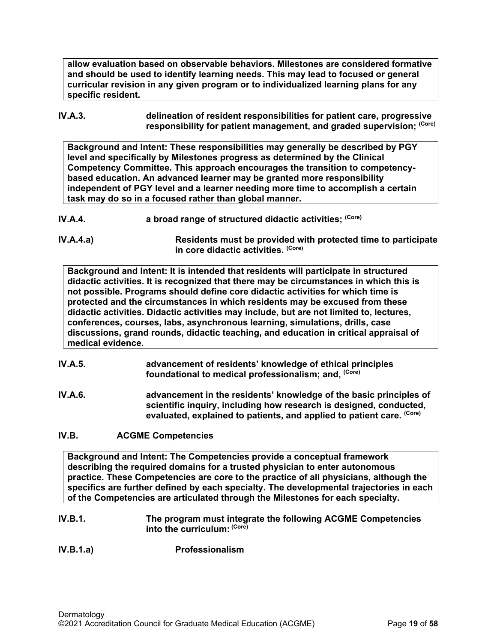**allow evaluation based on observable behaviors. Milestones are considered formative and should be used to identify learning needs. This may lead to focused or general curricular revision in any given program or to individualized learning plans for any specific resident.**

## **IV.A.3. delineation of resident responsibilities for patient care, progressive responsibility for patient management, and graded supervision; (Core)**

**Background and Intent: These responsibilities may generally be described by PGY level and specifically by Milestones progress as determined by the Clinical Competency Committee. This approach encourages the transition to competencybased education. An advanced learner may be granted more responsibility independent of PGY level and a learner needing more time to accomplish a certain task may do so in a focused rather than global manner.**

**IV.A.4.a) Residents must be provided with protected time to participate in core didactic activities. (Core)**

**Background and Intent: It is intended that residents will participate in structured didactic activities. It is recognized that there may be circumstances in which this is not possible. Programs should define core didactic activities for which time is protected and the circumstances in which residents may be excused from these didactic activities. Didactic activities may include, but are not limited to, lectures, conferences, courses, labs, asynchronous learning, simulations, drills, case discussions, grand rounds, didactic teaching, and education in critical appraisal of medical evidence.**

- **IV.A.5. advancement of residents' knowledge of ethical principles foundational to medical professionalism; and, (Core)**
- **IV.A.6. advancement in the residents' knowledge of the basic principles of scientific inquiry, including how research is designed, conducted, evaluated, explained to patients, and applied to patient care. (Core)**

# <span id="page-18-0"></span>**IV.B. ACGME Competencies**

**Background and Intent: The Competencies provide a conceptual framework describing the required domains for a trusted physician to enter autonomous practice. These Competencies are core to the practice of all physicians, although the specifics are further defined by each specialty. The developmental trajectories in each of the Competencies are articulated through the Milestones for each specialty.**

## **IV.B.1. The program must integrate the following ACGME Competencies into the curriculum: (Core)**

# **IV.B.1.a) Professionalism**

**IV.A.4. a broad range of structured didactic activities; (Core)**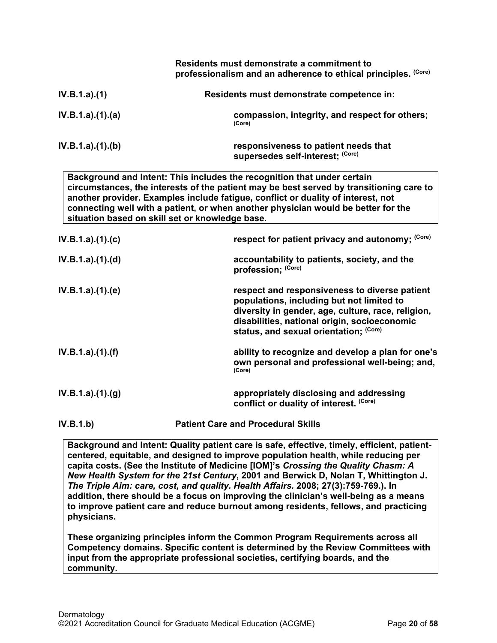|                                                 | Residents must demonstrate a commitment to<br>professionalism and an adherence to ethical principles. (Core)                                                                                                                                                                                                                                |
|-------------------------------------------------|---------------------------------------------------------------------------------------------------------------------------------------------------------------------------------------------------------------------------------------------------------------------------------------------------------------------------------------------|
| IV.B.1.a)(1)                                    | Residents must demonstrate competence in:                                                                                                                                                                                                                                                                                                   |
| IV.B.1.a)(1)(a)                                 | compassion, integrity, and respect for others;<br>(Core)                                                                                                                                                                                                                                                                                    |
| IV.B.1.a)(1)(b)                                 | responsiveness to patient needs that<br>supersedes self-interest; (Core)                                                                                                                                                                                                                                                                    |
| situation based on skill set or knowledge base. | Background and Intent: This includes the recognition that under certain<br>circumstances, the interests of the patient may be best served by transitioning care to<br>another provider. Examples include fatigue, conflict or duality of interest, not<br>connecting well with a patient, or when another physician would be better for the |
| IV.B.1.a)(1)(c)                                 | respect for patient privacy and autonomy; (Core)                                                                                                                                                                                                                                                                                            |
| IV.B.1.a)(1)(d)                                 | accountability to patients, society, and the<br>profession; (Core)                                                                                                                                                                                                                                                                          |
| IV.B.1.a)(1)(e)                                 | respect and responsiveness to diverse patient<br>populations, including but not limited to<br>diversity in gender, age, culture, race, religion,<br>disabilities, national origin, socioeconomic<br>status, and sexual orientation; (Core)                                                                                                  |
| IV.B.1.a).(1).(f)                               | ability to recognize and develop a plan for one's<br>own personal and professional well-being; and,<br>(Core)                                                                                                                                                                                                                               |
| IV.B.1.a)(1)(g)                                 | appropriately disclosing and addressing<br>conflict or duality of interest. (Core)                                                                                                                                                                                                                                                          |
| IV.B.1.b)                                       | <b>Patient Care and Procedural Skills</b>                                                                                                                                                                                                                                                                                                   |

**Background and Intent: Quality patient care is safe, effective, timely, efficient, patientcentered, equitable, and designed to improve population health, while reducing per capita costs. (See the Institute of Medicine [IOM]'s** *Crossing the Quality Chasm: A New Health System for the 21st Century***, 2001 and Berwick D, Nolan T, Whittington J.**  *The Triple Aim: care, cost, and quality. Health Affairs.* **2008; 27(3):759-769.). In addition, there should be a focus on improving the clinician's well-being as a means to improve patient care and reduce burnout among residents, fellows, and practicing physicians.**

**These organizing principles inform the Common Program Requirements across all Competency domains. Specific content is determined by the Review Committees with input from the appropriate professional societies, certifying boards, and the community.**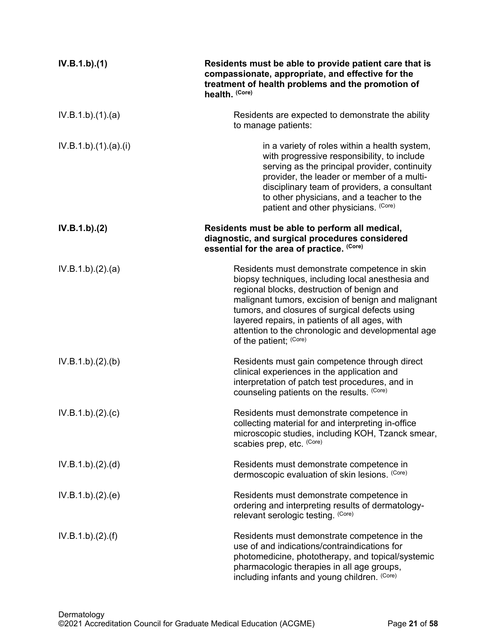| IV.B.1.b)(1)       | Residents must be able to provide patient care that is<br>compassionate, appropriate, and effective for the<br>treatment of health problems and the promotion of<br>health. (Core)                                                                                                                                                                                                         |
|--------------------|--------------------------------------------------------------------------------------------------------------------------------------------------------------------------------------------------------------------------------------------------------------------------------------------------------------------------------------------------------------------------------------------|
| IV.B.1.b)(1)(a)    | Residents are expected to demonstrate the ability<br>to manage patients:                                                                                                                                                                                                                                                                                                                   |
| IV.B.1.b)(1)(a)(i) | in a variety of roles within a health system,<br>with progressive responsibility, to include<br>serving as the principal provider, continuity<br>provider, the leader or member of a multi-<br>disciplinary team of providers, a consultant<br>to other physicians, and a teacher to the<br>patient and other physicians. (Core)                                                           |
| IV.B.1.b)(2)       | Residents must be able to perform all medical,<br>diagnostic, and surgical procedures considered<br>essential for the area of practice. (Core)                                                                                                                                                                                                                                             |
| IV.B.1.b)(2).(a)   | Residents must demonstrate competence in skin<br>biopsy techniques, including local anesthesia and<br>regional blocks, destruction of benign and<br>malignant tumors, excision of benign and malignant<br>tumors, and closures of surgical defects using<br>layered repairs, in patients of all ages, with<br>attention to the chronologic and developmental age<br>of the patient; (Core) |
| IV.B.1.b)(2)(b)    | Residents must gain competence through direct<br>clinical experiences in the application and<br>interpretation of patch test procedures, and in<br>counseling patients on the results. (Core)                                                                                                                                                                                              |
| IV.B.1.b)(2).(c)   | Residents must demonstrate competence in<br>collecting material for and interpreting in-office<br>microscopic studies, including KOH, Tzanck smear,<br>scabies prep, etc. (Core)                                                                                                                                                                                                           |
| IV.B.1.b)(2).(d)   | Residents must demonstrate competence in<br>dermoscopic evaluation of skin lesions. (Core)                                                                                                                                                                                                                                                                                                 |
| IV.B.1.b)(2)(e)    | Residents must demonstrate competence in<br>ordering and interpreting results of dermatology-<br>relevant serologic testing. (Core)                                                                                                                                                                                                                                                        |
| IV.B.1.b)(2)(f)    | Residents must demonstrate competence in the<br>use of and indications/contraindications for<br>photomedicine, phototherapy, and topical/systemic<br>pharmacologic therapies in all age groups,<br>including infants and young children. (Core)                                                                                                                                            |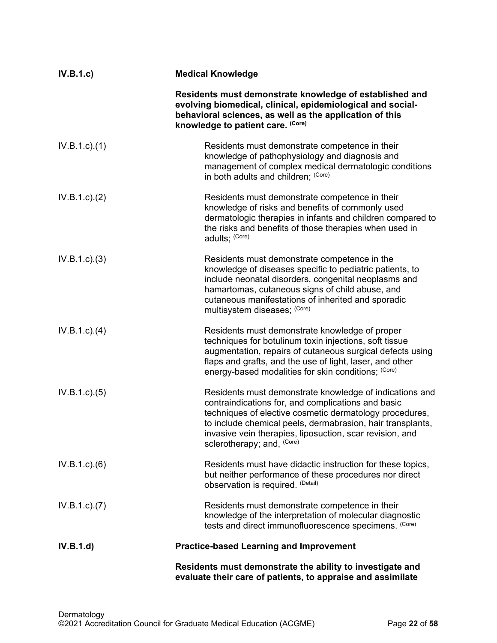| IV.B.1.c        | <b>Medical Knowledge</b>                                                                                                                                                                                                                                                                                                         |
|-----------------|----------------------------------------------------------------------------------------------------------------------------------------------------------------------------------------------------------------------------------------------------------------------------------------------------------------------------------|
|                 | Residents must demonstrate knowledge of established and<br>evolving biomedical, clinical, epidemiological and social-<br>behavioral sciences, as well as the application of this<br>knowledge to patient care. (Core)                                                                                                            |
| $IV.B.1.c.$ (1) | Residents must demonstrate competence in their<br>knowledge of pathophysiology and diagnosis and<br>management of complex medical dermatologic conditions<br>in both adults and children; (Core)                                                                                                                                 |
| IV.B.1.c.2)     | Residents must demonstrate competence in their<br>knowledge of risks and benefits of commonly used<br>dermatologic therapies in infants and children compared to<br>the risks and benefits of those therapies when used in<br>adults; (Core)                                                                                     |
| $IV.B.1.c.$ (3) | Residents must demonstrate competence in the<br>knowledge of diseases specific to pediatric patients, to<br>include neonatal disorders, congenital neoplasms and<br>hamartomas, cutaneous signs of child abuse, and<br>cutaneous manifestations of inherited and sporadic<br>multisystem diseases; (Core)                        |
| $IV.B.1.c.$ (4) | Residents must demonstrate knowledge of proper<br>techniques for botulinum toxin injections, soft tissue<br>augmentation, repairs of cutaneous surgical defects using<br>flaps and grafts, and the use of light, laser, and other<br>energy-based modalities for skin conditions; (Core)                                         |
| IV.B.1.c. (5)   | Residents must demonstrate knowledge of indications and<br>contraindications for, and complications and basic<br>techniques of elective cosmetic dermatology procedures,<br>to include chemical peels, dermabrasion, hair transplants,<br>invasive vein therapies, liposuction, scar revision, and<br>sclerotherapy; and, (Core) |
| IV.B.1.c)(6)    | Residents must have didactic instruction for these topics,<br>but neither performance of these procedures nor direct<br>observation is required. (Detail)                                                                                                                                                                        |
| IV.B.1.c. (7)   | Residents must demonstrate competence in their<br>knowledge of the interpretation of molecular diagnostic<br>tests and direct immunofluorescence specimens. (Core)                                                                                                                                                               |
| IV.B.1.d)       | <b>Practice-based Learning and Improvement</b>                                                                                                                                                                                                                                                                                   |
|                 | Residents must demonstrate the ability to investigate and<br>evaluate their care of patients, to appraise and assimilate                                                                                                                                                                                                         |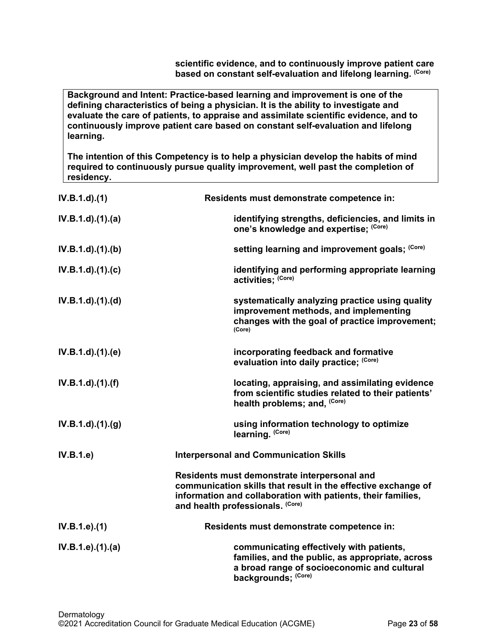**scientific evidence, and to continuously improve patient care based on constant self-evaluation and lifelong learning. (Core)**

**Background and Intent: Practice-based learning and improvement is one of the defining characteristics of being a physician. It is the ability to investigate and evaluate the care of patients, to appraise and assimilate scientific evidence, and to continuously improve patient care based on constant self-evaluation and lifelong learning.**

**The intention of this Competency is to help a physician develop the habits of mind required to continuously pursue quality improvement, well past the completion of residency.**

| $IV.B.1.d$ $(1)$        | Residents must demonstrate competence in:                                                                                                                                                                         |
|-------------------------|-------------------------------------------------------------------------------------------------------------------------------------------------------------------------------------------------------------------|
| $IV.B.1.d$ $(1).$ $(a)$ | identifying strengths, deficiencies, and limits in<br>one's knowledge and expertise; (Core)                                                                                                                       |
| $IV.B.1.d$ . $(1).$ (b) | setting learning and improvement goals; (Core)                                                                                                                                                                    |
| $IV.B.1.d$ $.(1).(c)$   | identifying and performing appropriate learning<br>activities; (Core)                                                                                                                                             |
| $IV.B.1.d$ $(1).d)$     | systematically analyzing practice using quality<br>improvement methods, and implementing<br>changes with the goal of practice improvement;<br>(Core)                                                              |
| $IV.B.1.d$ $(1).$ (e)   | incorporating feedback and formative<br>evaluation into daily practice; (Core)                                                                                                                                    |
| $IV.B.1.d$ $.(1).(f)$   | locating, appraising, and assimilating evidence<br>from scientific studies related to their patients'<br>health problems; and, (Core)                                                                             |
| $IV.B.1.d$ $.(1).(g)$   | using information technology to optimize<br>learning. (Core)                                                                                                                                                      |
| IV.B.1.e                | <b>Interpersonal and Communication Skills</b>                                                                                                                                                                     |
|                         | Residents must demonstrate interpersonal and<br>communication skills that result in the effective exchange of<br>information and collaboration with patients, their families,<br>and health professionals. (Core) |
| IV.B.1.e).(1)           | Residents must demonstrate competence in:                                                                                                                                                                         |
| IV.B.1.e).(1).(a)       | communicating effectively with patients,<br>families, and the public, as appropriate, across<br>a broad range of socioeconomic and cultural<br>backgrounds; (Core)                                                |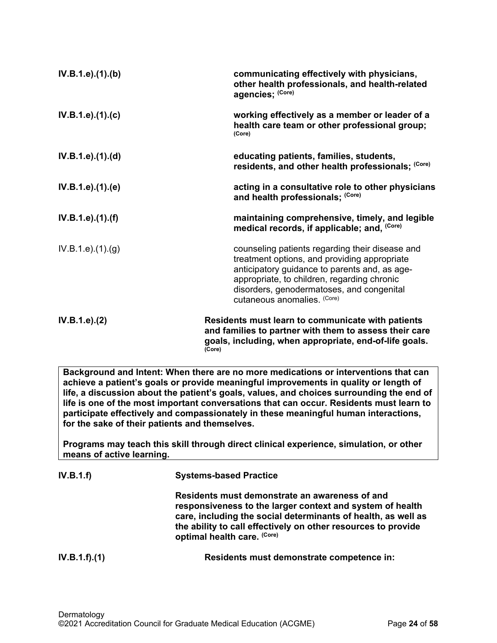| IV.B.1.e).(1).(b)             | communicating effectively with physicians,<br>other health professionals, and health-related<br>agencies; (Core)                                                                                                                                                            |
|-------------------------------|-----------------------------------------------------------------------------------------------------------------------------------------------------------------------------------------------------------------------------------------------------------------------------|
| IV.B.1.e).(1).(c)             | working effectively as a member or leader of a<br>health care team or other professional group;<br>(Core)                                                                                                                                                                   |
| IV.B.1.e).(1).(d)             | educating patients, families, students,<br>residents, and other health professionals; (Core)                                                                                                                                                                                |
| IV.B.1.e).(1).(e)             | acting in a consultative role to other physicians<br>and health professionals; (Core)                                                                                                                                                                                       |
| IV.B.1.e).(1).(f)             | maintaining comprehensive, timely, and legible<br>medical records, if applicable; and, (Core)                                                                                                                                                                               |
| IV.B.1.e. (1). <sub>(g)</sub> | counseling patients regarding their disease and<br>treatment options, and providing appropriate<br>anticipatory guidance to parents and, as age-<br>appropriate, to children, regarding chronic<br>disorders, genodermatoses, and congenital<br>cutaneous anomalies. (Core) |
| IV.B.1.e). (2)                | Residents must learn to communicate with patients<br>and families to partner with them to assess their care<br>goals, including, when appropriate, end-of-life goals.<br>(Core)                                                                                             |

**Background and Intent: When there are no more medications or interventions that can achieve a patient's goals or provide meaningful improvements in quality or length of life, a discussion about the patient's goals, values, and choices surrounding the end of life is one of the most important conversations that can occur. Residents must learn to participate effectively and compassionately in these meaningful human interactions, for the sake of their patients and themselves.**

**Programs may teach this skill through direct clinical experience, simulation, or other means of active learning.**

| IV.B.1.f)     | <b>Systems-based Practice</b>                                                                                                                                                                                                                                                |  |
|---------------|------------------------------------------------------------------------------------------------------------------------------------------------------------------------------------------------------------------------------------------------------------------------------|--|
|               | Residents must demonstrate an awareness of and<br>responsiveness to the larger context and system of health<br>care, including the social determinants of health, as well as<br>the ability to call effectively on other resources to provide<br>optimal health care. (Core) |  |
| IV.B.1.f).(1) | Residents must demonstrate competence in:                                                                                                                                                                                                                                    |  |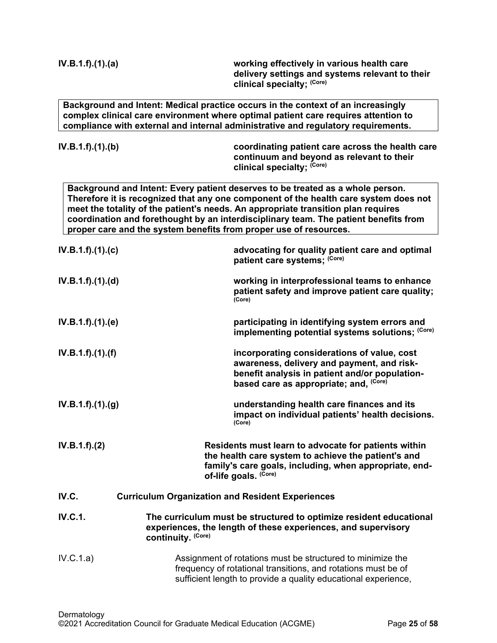<span id="page-24-0"></span>

| IV.B.1.f).(1).(a) | working effectively in various health care<br>delivery settings and systems relevant to their<br>clinical specialty; (Core)                                                                                                                                                                                                                                                                                              |
|-------------------|--------------------------------------------------------------------------------------------------------------------------------------------------------------------------------------------------------------------------------------------------------------------------------------------------------------------------------------------------------------------------------------------------------------------------|
|                   | Background and Intent: Medical practice occurs in the context of an increasingly<br>complex clinical care environment where optimal patient care requires attention to<br>compliance with external and internal administrative and regulatory requirements.                                                                                                                                                              |
| IV.B.1.f).(1).(b) | coordinating patient care across the health care<br>continuum and beyond as relevant to their<br>clinical specialty; (Core)                                                                                                                                                                                                                                                                                              |
|                   | Background and Intent: Every patient deserves to be treated as a whole person.<br>Therefore it is recognized that any one component of the health care system does not<br>meet the totality of the patient's needs. An appropriate transition plan requires<br>coordination and forethought by an interdisciplinary team. The patient benefits from<br>proper care and the system benefits from proper use of resources. |
| IV.B.1.f).(1).(c) | advocating for quality patient care and optimal<br>patient care systems; (Core)                                                                                                                                                                                                                                                                                                                                          |
| IV.B.1.f).(1).(d) | working in interprofessional teams to enhance<br>patient safety and improve patient care quality;<br>(Core)                                                                                                                                                                                                                                                                                                              |
| IV.B.1.f).(1).(e) | participating in identifying system errors and<br>implementing potential systems solutions; (Core)                                                                                                                                                                                                                                                                                                                       |
| IV.B.1.f).(1).(f) | incorporating considerations of value, cost<br>awareness, delivery and payment, and risk-<br>benefit analysis in patient and/or population-<br>based care as appropriate; and, (Core)                                                                                                                                                                                                                                    |
| IV.B.1.f)(1)(g)   | understanding health care finances and its<br>impact on individual patients' health decisions.<br>(Core)                                                                                                                                                                                                                                                                                                                 |
| IV.B.1.f).(2)     | Residents must learn to advocate for patients within<br>the health care system to achieve the patient's and<br>family's care goals, including, when appropriate, end-<br>of-life goals. (Core)                                                                                                                                                                                                                           |
| IV.C.             | <b>Curriculum Organization and Resident Experiences</b>                                                                                                                                                                                                                                                                                                                                                                  |
| <b>IV.C.1.</b>    | The curriculum must be structured to optimize resident educational<br>experiences, the length of these experiences, and supervisory<br>continuity. (Core)                                                                                                                                                                                                                                                                |
| IV.C.1.a)         | Assignment of rotations must be structured to minimize the<br>frequency of rotational transitions, and rotations must be of<br>sufficient length to provide a quality educational experience,                                                                                                                                                                                                                            |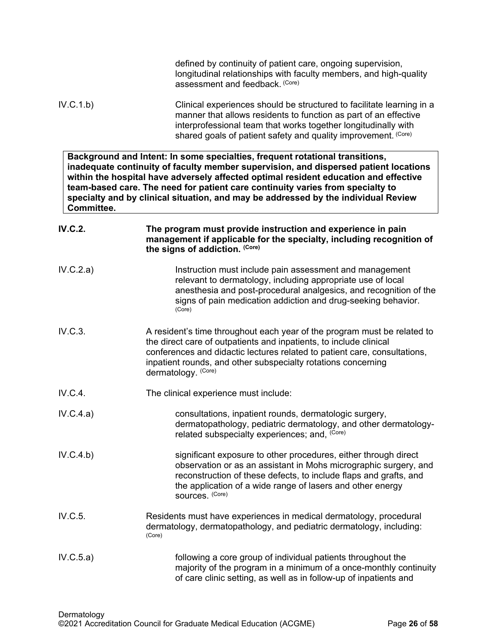|                | defined by continuity of patient care, ongoing supervision,<br>longitudinal relationships with faculty members, and high-quality<br>assessment and feedback. (Core)                                                                                                                                                                                                                                                                  |  |
|----------------|--------------------------------------------------------------------------------------------------------------------------------------------------------------------------------------------------------------------------------------------------------------------------------------------------------------------------------------------------------------------------------------------------------------------------------------|--|
| IV.C.1.b)      | Clinical experiences should be structured to facilitate learning in a<br>manner that allows residents to function as part of an effective<br>interprofessional team that works together longitudinally with<br>shared goals of patient safety and quality improvement. (Core)                                                                                                                                                        |  |
| Committee.     | Background and Intent: In some specialties, frequent rotational transitions,<br>inadequate continuity of faculty member supervision, and dispersed patient locations<br>within the hospital have adversely affected optimal resident education and effective<br>team-based care. The need for patient care continuity varies from specialty to<br>specialty and by clinical situation, and may be addressed by the individual Review |  |
| <b>IV.C.2.</b> | The program must provide instruction and experience in pain<br>management if applicable for the specialty, including recognition of<br>the signs of addiction. (Core)                                                                                                                                                                                                                                                                |  |
| IV.C.2.a)      | Instruction must include pain assessment and management<br>relevant to dermatology, including appropriate use of local<br>anesthesia and post-procedural analgesics, and recognition of the<br>signs of pain medication addiction and drug-seeking behavior.<br>(Core)                                                                                                                                                               |  |
| IV.C.3.        | A resident's time throughout each year of the program must be related to<br>the direct care of outpatients and inpatients, to include clinical<br>conferences and didactic lectures related to patient care, consultations,<br>inpatient rounds, and other subspecialty rotations concerning<br>dermatology. (Core)                                                                                                                  |  |
| IV.C.4.        | The clinical experience must include:                                                                                                                                                                                                                                                                                                                                                                                                |  |
| IV.C.4.a)      | consultations, inpatient rounds, dermatologic surgery,<br>dermatopathology, pediatric dermatology, and other dermatology-<br>related subspecialty experiences; and, (Core)                                                                                                                                                                                                                                                           |  |
| IV.C.4.b)      | significant exposure to other procedures, either through direct<br>observation or as an assistant in Mohs micrographic surgery, and<br>reconstruction of these defects, to include flaps and grafts, and<br>the application of a wide range of lasers and other energy<br>sources. (Core)                                                                                                                                            |  |
| IV.C.5.        | Residents must have experiences in medical dermatology, procedural<br>dermatology, dermatopathology, and pediatric dermatology, including:<br>(Core)                                                                                                                                                                                                                                                                                 |  |
| IV.C.5.a)      | following a core group of individual patients throughout the<br>majority of the program in a minimum of a once-monthly continuity<br>of care clinic setting, as well as in follow-up of inpatients and                                                                                                                                                                                                                               |  |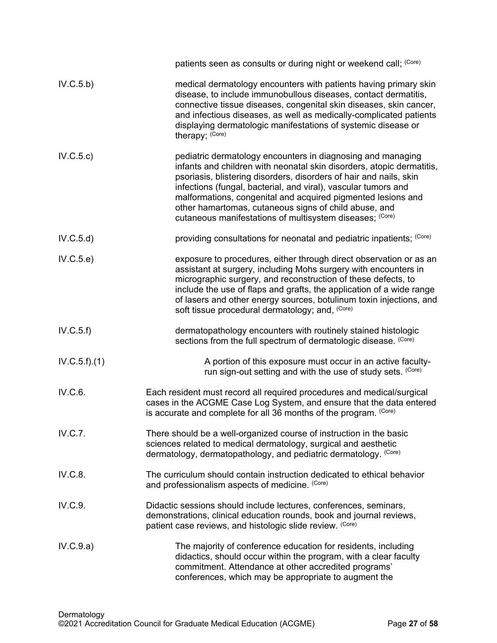|              | patients seen as consults or during night or weekend call; (Core)                                                                                                                                                                                                                                                                                                                                                                                                 |  |  |
|--------------|-------------------------------------------------------------------------------------------------------------------------------------------------------------------------------------------------------------------------------------------------------------------------------------------------------------------------------------------------------------------------------------------------------------------------------------------------------------------|--|--|
| IV.C.5.b)    | medical dermatology encounters with patients having primary skin<br>disease, to include immunobullous diseases, contact dermatitis,<br>connective tissue diseases, congenital skin diseases, skin cancer,<br>and infectious diseases, as well as medically-complicated patients<br>displaying dermatologic manifestations of systemic disease or<br>therapy; (Core)                                                                                               |  |  |
| IV.C.5.c)    | pediatric dermatology encounters in diagnosing and managing<br>infants and children with neonatal skin disorders, atopic dermatitis,<br>psoriasis, blistering disorders, disorders of hair and nails, skin<br>infections (fungal, bacterial, and viral), vascular tumors and<br>malformations, congenital and acquired pigmented lesions and<br>other hamartomas, cutaneous signs of child abuse, and<br>cutaneous manifestations of multisystem diseases; (Core) |  |  |
| IV.C.5.d)    | providing consultations for neonatal and pediatric inpatients; (Core)                                                                                                                                                                                                                                                                                                                                                                                             |  |  |
| IV.C.5.e)    | exposure to procedures, either through direct observation or as an<br>assistant at surgery, including Mohs surgery with encounters in<br>micrographic surgery, and reconstruction of these defects, to<br>include the use of flaps and grafts, the application of a wide range<br>of lasers and other energy sources, botulinum toxin injections, and<br>soft tissue procedural dermatology; and, (Core)                                                          |  |  |
| IV.C.5.f)    | dermatopathology encounters with routinely stained histologic<br>sections from the full spectrum of dermatologic disease. (Core)                                                                                                                                                                                                                                                                                                                                  |  |  |
| IV.C.5.f)(1) | A portion of this exposure must occur in an active faculty-<br>run sign-out setting and with the use of study sets. (Core)                                                                                                                                                                                                                                                                                                                                        |  |  |
| IV.C.6.      | Each resident must record all required procedures and medical/surgical<br>cases in the ACGME Case Log System, and ensure that the data entered<br>is accurate and complete for all 36 months of the program. (Core)                                                                                                                                                                                                                                               |  |  |
| IV.C.7.      | There should be a well-organized course of instruction in the basic<br>sciences related to medical dermatology, surgical and aesthetic<br>dermatology, dermatopathology, and pediatric dermatology. (Core)                                                                                                                                                                                                                                                        |  |  |
| IV.C.8.      | The curriculum should contain instruction dedicated to ethical behavior<br>and professionalism aspects of medicine. (Core)                                                                                                                                                                                                                                                                                                                                        |  |  |
| IV.C.9.      | Didactic sessions should include lectures, conferences, seminars,<br>demonstrations, clinical education rounds, book and journal reviews,<br>patient case reviews, and histologic slide review. (Core)                                                                                                                                                                                                                                                            |  |  |
| IV.C.9.a)    | The majority of conference education for residents, including<br>didactics, should occur within the program, with a clear faculty<br>commitment. Attendance at other accredited programs'<br>conferences, which may be appropriate to augment the                                                                                                                                                                                                                 |  |  |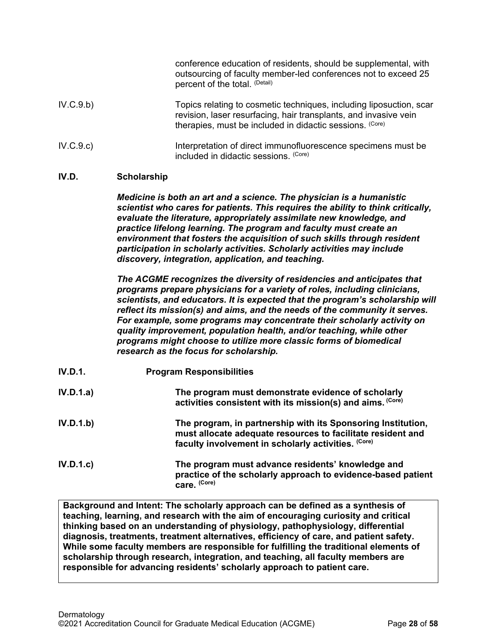|           | conference education of residents, should be supplemental, with<br>outsourcing of faculty member-led conferences not to exceed 25<br>percent of the total. (Detail)                                 |
|-----------|-----------------------------------------------------------------------------------------------------------------------------------------------------------------------------------------------------|
| IV.C.9.b) | Topics relating to cosmetic techniques, including liposuction, scar<br>revision, laser resurfacing, hair transplants, and invasive vein<br>therapies, must be included in didactic sessions. (Core) |
| IV.C.9.c) | Interpretation of direct immunofluorescence specimens must be<br>included in didactic sessions. (Core)                                                                                              |

# <span id="page-27-0"></span>**IV.D. Scholarship**

*Medicine is both an art and a science. The physician is a humanistic scientist who cares for patients. This requires the ability to think critically, evaluate the literature, appropriately assimilate new knowledge, and practice lifelong learning. The program and faculty must create an environment that fosters the acquisition of such skills through resident participation in scholarly activities. Scholarly activities may include discovery, integration, application, and teaching.*

*The ACGME recognizes the diversity of residencies and anticipates that programs prepare physicians for a variety of roles, including clinicians, scientists, and educators. It is expected that the program's scholarship will reflect its mission(s) and aims, and the needs of the community it serves. For example, some programs may concentrate their scholarly activity on quality improvement, population health, and/or teaching, while other programs might choose to utilize more classic forms of biomedical research as the focus for scholarship.*

| IV.D.1.   | <b>Program Responsibilities</b>                                                                                                                                                    |  |
|-----------|------------------------------------------------------------------------------------------------------------------------------------------------------------------------------------|--|
| IV.D.1.a) | The program must demonstrate evidence of scholarly<br>activities consistent with its mission(s) and aims. (Core)                                                                   |  |
| IV.D.1.b) | The program, in partnership with its Sponsoring Institution,<br>must allocate adequate resources to facilitate resident and<br>faculty involvement in scholarly activities. (Core) |  |
| IV.D.1.c  | The program must advance residents' knowledge and<br>practice of the scholarly approach to evidence-based patient<br>care. (Core)                                                  |  |

**Background and Intent: The scholarly approach can be defined as a synthesis of teaching, learning, and research with the aim of encouraging curiosity and critical thinking based on an understanding of physiology, pathophysiology, differential diagnosis, treatments, treatment alternatives, efficiency of care, and patient safety. While some faculty members are responsible for fulfilling the traditional elements of scholarship through research, integration, and teaching, all faculty members are responsible for advancing residents' scholarly approach to patient care.**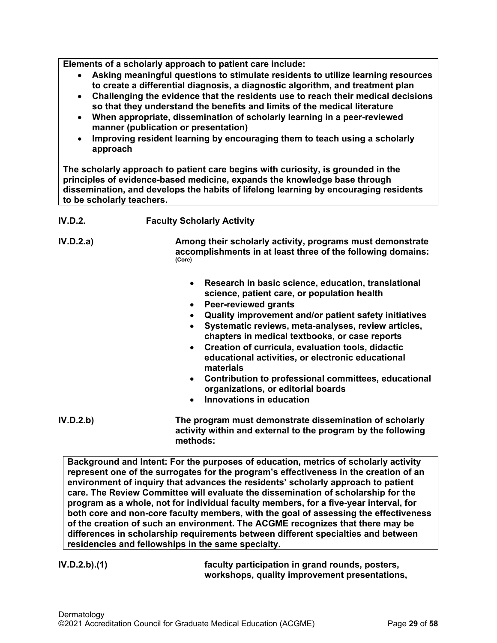**Elements of a scholarly approach to patient care include:**

- **Asking meaningful questions to stimulate residents to utilize learning resources to create a differential diagnosis, a diagnostic algorithm, and treatment plan**
- **Challenging the evidence that the residents use to reach their medical decisions so that they understand the benefits and limits of the medical literature**
- **When appropriate, dissemination of scholarly learning in a peer-reviewed manner (publication or presentation)**
- **Improving resident learning by encouraging them to teach using a scholarly approach**

**The scholarly approach to patient care begins with curiosity, is grounded in the principles of evidence-based medicine, expands the knowledge base through dissemination, and develops the habits of lifelong learning by encouraging residents to be scholarly teachers.**

# **IV.D.2. Faculty Scholarly Activity**

**IV.D.2.a) Among their scholarly activity, programs must demonstrate accomplishments in at least three of the following domains: (Core)**

- **Research in basic science, education, translational science, patient care, or population health**
- **Peer-reviewed grants**
- **Quality improvement and/or patient safety initiatives**
- **Systematic reviews, meta-analyses, review articles, chapters in medical textbooks, or case reports**
- **Creation of curricula, evaluation tools, didactic educational activities, or electronic educational materials**
- **Contribution to professional committees, educational organizations, or editorial boards**
- **Innovations in education**
- **IV.D.2.b) The program must demonstrate dissemination of scholarly activity within and external to the program by the following methods:**

**Background and Intent: For the purposes of education, metrics of scholarly activity represent one of the surrogates for the program's effectiveness in the creation of an environment of inquiry that advances the residents' scholarly approach to patient care. The Review Committee will evaluate the dissemination of scholarship for the program as a whole, not for individual faculty members, for a five-year interval, for both core and non-core faculty members, with the goal of assessing the effectiveness of the creation of such an environment. The ACGME recognizes that there may be differences in scholarship requirements between different specialties and between residencies and fellowships in the same specialty.**

**IV.D.2.b).(1) faculty participation in grand rounds, posters, workshops, quality improvement presentations,**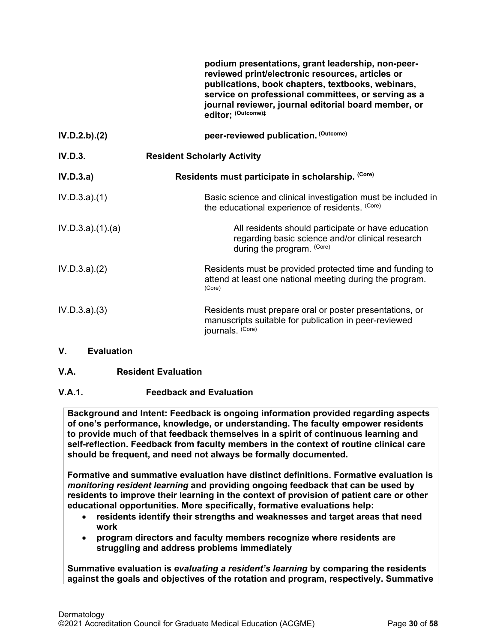|                  | podium presentations, grant leadership, non-peer-<br>reviewed print/electronic resources, articles or<br>publications, book chapters, textbooks, webinars,<br>service on professional committees, or serving as a<br>journal reviewer, journal editorial board member, or<br>editor; (Outcome)# |
|------------------|-------------------------------------------------------------------------------------------------------------------------------------------------------------------------------------------------------------------------------------------------------------------------------------------------|
| IV.D.2.b). (2)   | peer-reviewed publication. (Outcome)                                                                                                                                                                                                                                                            |
| IV.D.3.          | <b>Resident Scholarly Activity</b>                                                                                                                                                                                                                                                              |
| IV.D.3.a)        | Residents must participate in scholarship. (Core)                                                                                                                                                                                                                                               |
| IV.D.3.a)(1)     | Basic science and clinical investigation must be included in<br>the educational experience of residents. (Core)                                                                                                                                                                                 |
| IV.D.3.a)(1).(a) | All residents should participate or have education<br>regarding basic science and/or clinical research<br>during the program. (Core)                                                                                                                                                            |
| IV.D.3.a)(2)     | Residents must be provided protected time and funding to<br>attend at least one national meeting during the program.<br>(Core)                                                                                                                                                                  |
| IV.D.3.a)(3)     | Residents must prepare oral or poster presentations, or<br>manuscripts suitable for publication in peer-reviewed<br>journals. (Core)                                                                                                                                                            |
| V.<br>Evaluation |                                                                                                                                                                                                                                                                                                 |

<span id="page-29-1"></span><span id="page-29-0"></span>**V.A. Resident Evaluation**

# **V.A.1. Feedback and Evaluation**

**Background and Intent: Feedback is ongoing information provided regarding aspects of one's performance, knowledge, or understanding. The faculty empower residents to provide much of that feedback themselves in a spirit of continuous learning and self-reflection. Feedback from faculty members in the context of routine clinical care should be frequent, and need not always be formally documented.**

**Formative and summative evaluation have distinct definitions. Formative evaluation is**  *monitoring resident learning* **and providing ongoing feedback that can be used by residents to improve their learning in the context of provision of patient care or other educational opportunities. More specifically, formative evaluations help:**

- **residents identify their strengths and weaknesses and target areas that need work**
- **program directors and faculty members recognize where residents are struggling and address problems immediately**

**Summative evaluation is** *evaluating a resident's learning* **by comparing the residents against the goals and objectives of the rotation and program, respectively. Summative**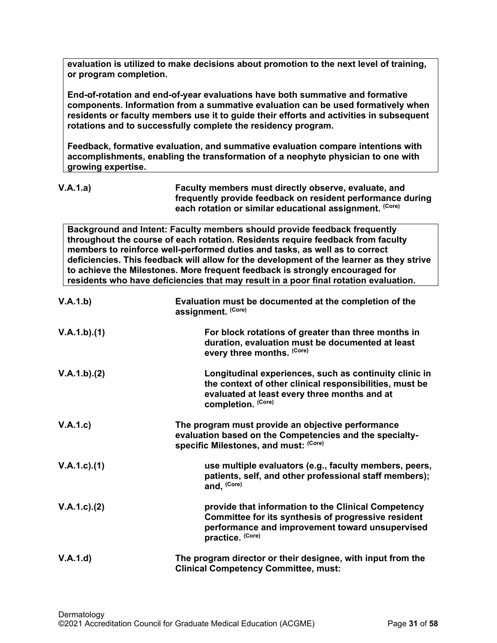**evaluation is utilized to make decisions about promotion to the next level of training, or program completion.**

**End-of-rotation and end-of-year evaluations have both summative and formative components. Information from a summative evaluation can be used formatively when residents or faculty members use it to guide their efforts and activities in subsequent rotations and to successfully complete the residency program.**

**Feedback, formative evaluation, and summative evaluation compare intentions with accomplishments, enabling the transformation of a neophyte physician to one with growing expertise.** 

| V.A.1.a) | Faculty members must directly observe, evaluate, and       |
|----------|------------------------------------------------------------|
|          | frequently provide feedback on resident performance during |
|          | each rotation or similar educational assignment. (Core)    |

**Background and Intent: Faculty members should provide feedback frequently throughout the course of each rotation. Residents require feedback from faculty members to reinforce well-performed duties and tasks, as well as to correct deficiencies. This feedback will allow for the development of the learner as they strive to achieve the Milestones. More frequent feedback is strongly encouraged for residents who have deficiencies that may result in a poor final rotation evaluation.**

| V.A.1.b)          | Evaluation must be documented at the completion of the<br>assignment. (Core)                                                                                                            |
|-------------------|-----------------------------------------------------------------------------------------------------------------------------------------------------------------------------------------|
| V.A.1.b)(1)       | For block rotations of greater than three months in<br>duration, evaluation must be documented at least<br>every three months. (Core)                                                   |
| V.A.1.b)(2)       | Longitudinal experiences, such as continuity clinic in<br>the context of other clinical responsibilities, must be<br>evaluated at least every three months and at<br>completion. (Core) |
| V.A.1.c)          | The program must provide an objective performance<br>evaluation based on the Competencies and the specialty-<br>specific Milestones, and must: (Core)                                   |
| $V.A.1.c$ . $(1)$ | use multiple evaluators (e.g., faculty members, peers,<br>patients, self, and other professional staff members);<br>and, (Core)                                                         |
| $V.A.1.c$ . $(2)$ | provide that information to the Clinical Competency<br>Committee for its synthesis of progressive resident<br>performance and improvement toward unsupervised<br>practice. (Core)       |
| V.A.1.d)          | The program director or their designee, with input from the<br><b>Clinical Competency Committee, must:</b>                                                                              |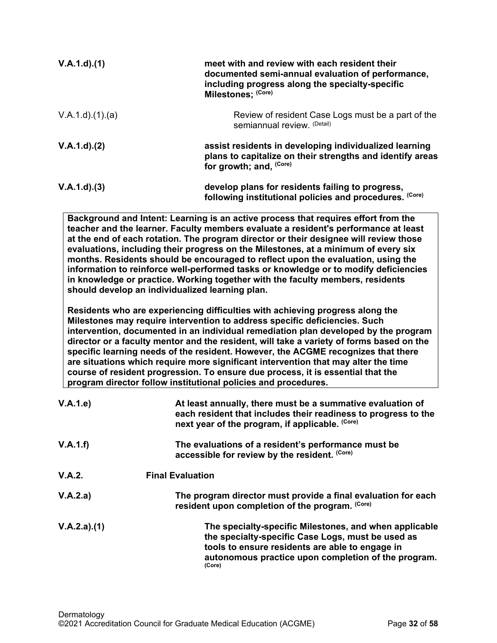| $V.A.1.d$ . $(1)$ | meet with and review with each resident their<br>documented semi-annual evaluation of performance,<br>including progress along the specialty-specific<br>Milestones; (Core) |
|-------------------|-----------------------------------------------------------------------------------------------------------------------------------------------------------------------------|
| V.A.1.d)(1.(a))   | Review of resident Case Logs must be a part of the<br>semiannual review. (Detail)                                                                                           |
| $V.A.1.d$ . $(2)$ | assist residents in developing individualized learning<br>plans to capitalize on their strengths and identify areas<br>for growth; and, (Core)                              |
| V.A.1.d. (3)      | develop plans for residents failing to progress,<br>following institutional policies and procedures. (Core)                                                                 |

**Background and Intent: Learning is an active process that requires effort from the teacher and the learner. Faculty members evaluate a resident's performance at least at the end of each rotation. The program director or their designee will review those evaluations, including their progress on the Milestones, at a minimum of every six months. Residents should be encouraged to reflect upon the evaluation, using the information to reinforce well-performed tasks or knowledge or to modify deficiencies in knowledge or practice. Working together with the faculty members, residents should develop an individualized learning plan.**

**Residents who are experiencing difficulties with achieving progress along the Milestones may require intervention to address specific deficiencies. Such intervention, documented in an individual remediation plan developed by the program director or a faculty mentor and the resident, will take a variety of forms based on the specific learning needs of the resident. However, the ACGME recognizes that there are situations which require more significant intervention that may alter the time course of resident progression. To ensure due process, it is essential that the program director follow institutional policies and procedures.**

| V.A.1.e     | At least annually, there must be a summative evaluation of<br>each resident that includes their readiness to progress to the<br>next year of the program, if applicable. (Core)                                                 |  |
|-------------|---------------------------------------------------------------------------------------------------------------------------------------------------------------------------------------------------------------------------------|--|
| V.A.1.f)    | The evaluations of a resident's performance must be<br>accessible for review by the resident. (Core)                                                                                                                            |  |
| V.A.2.      | <b>Final Evaluation</b>                                                                                                                                                                                                         |  |
| V.A.2.a)    | The program director must provide a final evaluation for each<br>resident upon completion of the program. (Core)                                                                                                                |  |
| V.A.2.a)(1) | The specialty-specific Milestones, and when applicable<br>the specialty-specific Case Logs, must be used as<br>tools to ensure residents are able to engage in<br>autonomous practice upon completion of the program.<br>(Core) |  |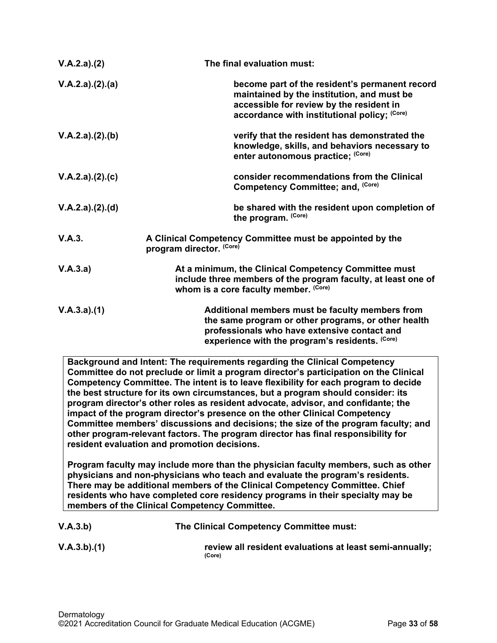| V.A.2.a)(2)     | The final evaluation must:                                                                                                                                                                                |  |
|-----------------|-----------------------------------------------------------------------------------------------------------------------------------------------------------------------------------------------------------|--|
| V.A.2.a)(2).(a) | become part of the resident's permanent record<br>maintained by the institution, and must be<br>accessible for review by the resident in<br>accordance with institutional policy; (Core)                  |  |
| V.A.2.a)(2).(b) | verify that the resident has demonstrated the<br>knowledge, skills, and behaviors necessary to<br>enter autonomous practice; (Core)                                                                       |  |
| V.A.2.a)(2).(c) | consider recommendations from the Clinical<br>Competency Committee; and, (Core)                                                                                                                           |  |
| V.A.2.a)(2).(d) | be shared with the resident upon completion of<br>the program. (Core)                                                                                                                                     |  |
| V.A.3.          | A Clinical Competency Committee must be appointed by the<br>program director. (Core)                                                                                                                      |  |
| V.A.3.a)        | At a minimum, the Clinical Competency Committee must<br>include three members of the program faculty, at least one of<br>whom is a core faculty member. (Core)                                            |  |
| V.A.3.a)(1)     | Additional members must be faculty members from<br>the same program or other programs, or other health<br>professionals who have extensive contact and<br>experience with the program's residents. (Core) |  |

**Background and Intent: The requirements regarding the Clinical Competency Committee do not preclude or limit a program director's participation on the Clinical Competency Committee. The intent is to leave flexibility for each program to decide the best structure for its own circumstances, but a program should consider: its program director's other roles as resident advocate, advisor, and confidante; the impact of the program director's presence on the other Clinical Competency Committee members' discussions and decisions; the size of the program faculty; and other program-relevant factors. The program director has final responsibility for resident evaluation and promotion decisions.**

**Program faculty may include more than the physician faculty members, such as other physicians and non-physicians who teach and evaluate the program's residents. There may be additional members of the Clinical Competency Committee. Chief residents who have completed core residency programs in their specialty may be members of the Clinical Competency Committee.** 

| V.A.3.b) | The Clinical Competency Committee must: |  |
|----------|-----------------------------------------|--|
|          |                                         |  |

**V.A.3.b).(1) review all resident evaluations at least semi-annually; (Core)**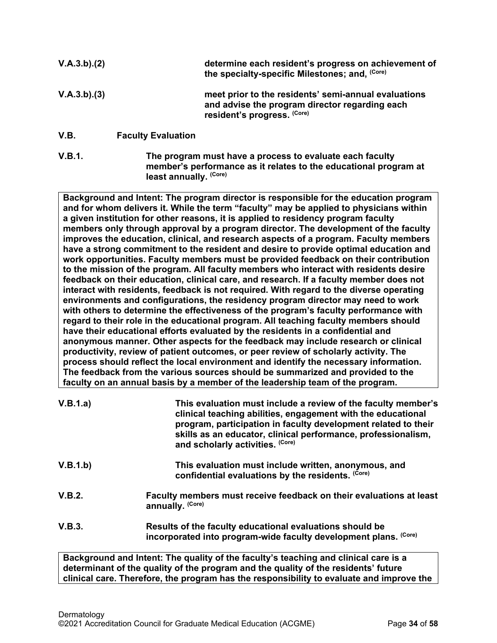| V.A.3.b)(2) |                           | determine each resident's progress on achievement of<br>the specialty-specific Milestones; and, (Core)                                |
|-------------|---------------------------|---------------------------------------------------------------------------------------------------------------------------------------|
| V.A.3.b)(3) |                           | meet prior to the residents' semi-annual evaluations<br>and advise the program director regarding each<br>resident's progress. (Core) |
| V.B.        | <b>Faculty Evaluation</b> |                                                                                                                                       |

<span id="page-33-0"></span>**V.B.1. The program must have a process to evaluate each faculty member's performance as it relates to the educational program at least annually. (Core)**

**Background and Intent: The program director is responsible for the education program and for whom delivers it. While the term "faculty" may be applied to physicians within a given institution for other reasons, it is applied to residency program faculty members only through approval by a program director. The development of the faculty improves the education, clinical, and research aspects of a program. Faculty members have a strong commitment to the resident and desire to provide optimal education and work opportunities. Faculty members must be provided feedback on their contribution to the mission of the program. All faculty members who interact with residents desire feedback on their education, clinical care, and research. If a faculty member does not interact with residents, feedback is not required. With regard to the diverse operating environments and configurations, the residency program director may need to work with others to determine the effectiveness of the program's faculty performance with regard to their role in the educational program. All teaching faculty members should have their educational efforts evaluated by the residents in a confidential and anonymous manner. Other aspects for the feedback may include research or clinical productivity, review of patient outcomes, or peer review of scholarly activity. The process should reflect the local environment and identify the necessary information. The feedback from the various sources should be summarized and provided to the faculty on an annual basis by a member of the leadership team of the program.**

| V.B.1.a) | This evaluation must include a review of the faculty member's<br>clinical teaching abilities, engagement with the educational<br>program, participation in faculty development related to their<br>skills as an educator, clinical performance, professionalism,<br>and scholarly activities. (Core) |
|----------|------------------------------------------------------------------------------------------------------------------------------------------------------------------------------------------------------------------------------------------------------------------------------------------------------|
| V.B.1.b) | This evaluation must include written, anonymous, and<br>confidential evaluations by the residents. (Core)                                                                                                                                                                                            |
| V.B.2.   | Faculty members must receive feedback on their evaluations at least<br>annually. (Core)                                                                                                                                                                                                              |
| V.B.3.   | Results of the faculty educational evaluations should be<br>incorporated into program-wide faculty development plans. (Core)                                                                                                                                                                         |

**Background and Intent: The quality of the faculty's teaching and clinical care is a determinant of the quality of the program and the quality of the residents' future clinical care. Therefore, the program has the responsibility to evaluate and improve the**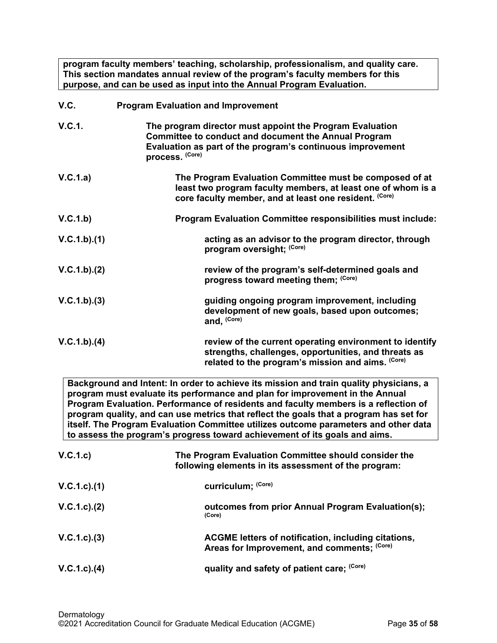**program faculty members' teaching, scholarship, professionalism, and quality care. This section mandates annual review of the program's faculty members for this purpose, and can be used as input into the Annual Program Evaluation.**

<span id="page-34-0"></span>

| V.C.        | <b>Program Evaluation and Improvement</b>                                                                                                                                                                |
|-------------|----------------------------------------------------------------------------------------------------------------------------------------------------------------------------------------------------------|
| V.C.1.      | The program director must appoint the Program Evaluation<br><b>Committee to conduct and document the Annual Program</b><br>Evaluation as part of the program's continuous improvement<br>process. (Core) |
| V.C.1.a)    | The Program Evaluation Committee must be composed of at<br>least two program faculty members, at least one of whom is a<br>core faculty member, and at least one resident. (Core)                        |
| V.C.1.b)    | <b>Program Evaluation Committee responsibilities must include:</b>                                                                                                                                       |
| V.C.1.b)(1) | acting as an advisor to the program director, through<br>program oversight; (Core)                                                                                                                       |
| V.C.1.b)(2) | review of the program's self-determined goals and<br>progress toward meeting them; (Core)                                                                                                                |
| V.C.1.b)(3) | guiding ongoing program improvement, including<br>development of new goals, based upon outcomes;<br>and, (Core)                                                                                          |
| V.C.1.b)(4) | review of the current operating environment to identify<br>strengths, challenges, opportunities, and threats as<br>related to the program's mission and aims. (Core)                                     |

**Background and Intent: In order to achieve its mission and train quality physicians, a program must evaluate its performance and plan for improvement in the Annual Program Evaluation. Performance of residents and faculty members is a reflection of program quality, and can use metrics that reflect the goals that a program has set for itself. The Program Evaluation Committee utilizes outcome parameters and other data to assess the program's progress toward achievement of its goals and aims.**

| V.C.1.c)          | The Program Evaluation Committee should consider the<br>following elements in its assessment of the program: |
|-------------------|--------------------------------------------------------------------------------------------------------------|
| $V.C.1.c$ . $(1)$ | curriculum; (Core)                                                                                           |
| $V.C.1.c$ . $(2)$ | outcomes from prior Annual Program Evaluation(s);<br>(Core)                                                  |
| V.C.1.c.3)        | ACGME letters of notification, including citations,<br>Areas for Improvement, and comments; (Core)           |
| $V.C.1.c$ . $(4)$ | quality and safety of patient care; (Core)                                                                   |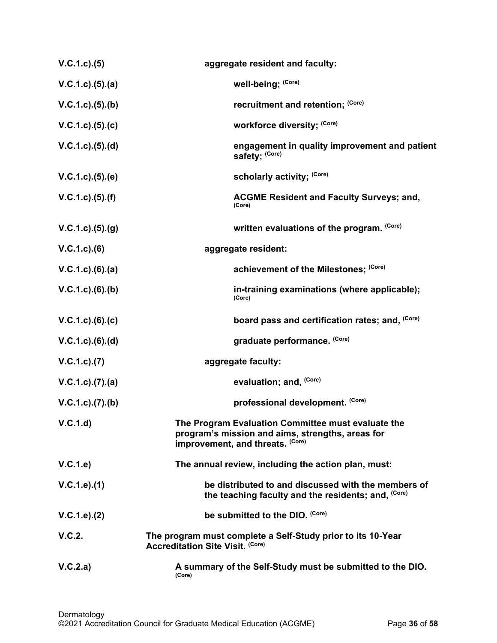| V.C.1.c. (5)             | aggregate resident and faculty:                                                                                                            |
|--------------------------|--------------------------------------------------------------------------------------------------------------------------------------------|
| $V.C.1.c).$ (5).(a)      | well-being; (Core)                                                                                                                         |
| V.C.1.c. (5). (b)        | recruitment and retention; (Core)                                                                                                          |
| V.C.1.c. (5). (c)        | workforce diversity; (Core)                                                                                                                |
| V.C.1.c. (5). (d)        | engagement in quality improvement and patient<br>safety; (Core)                                                                            |
| V.C.1.c. (5). (e)        | scholarly activity; (Core)                                                                                                                 |
| $V.C.1.c.$ (5).(f)       | <b>ACGME Resident and Faculty Surveys; and,</b><br>(Core)                                                                                  |
| V.C.1.c. (5). (g)        | written evaluations of the program. (Core)                                                                                                 |
| $V.C.1.c.$ (6)           | aggregate resident:                                                                                                                        |
| V.C.1.c).(6).(a)         | achievement of the Milestones; (Core)                                                                                                      |
| $V.C.1.c.$ (6).(b)       | in-training examinations (where applicable);<br>(Core)                                                                                     |
| V.C.1.c).(6).(c)         | board pass and certification rates; and, (Core)                                                                                            |
| $V.C.1.c.$ (6).(d)       | graduate performance. (Core)                                                                                                               |
| V.C.1.c. (7)             | aggregate faculty:                                                                                                                         |
| $V.C.1.c$ . $(7).$ $(a)$ | evaluation; and, (Core)                                                                                                                    |
| V.C.1.c. (7). (b)        | professional development. (Core)                                                                                                           |
| V.C.1.d                  | The Program Evaluation Committee must evaluate the<br>program's mission and aims, strengths, areas for<br>improvement, and threats. (Core) |
| V.C.1.e                  | The annual review, including the action plan, must:                                                                                        |
| V.C.1.e).(1)             | be distributed to and discussed with the members of<br>the teaching faculty and the residents; and, (Core)                                 |
| V.C.1.e). (2)            | be submitted to the DIO. (Core)                                                                                                            |
| V.C.2.                   | The program must complete a Self-Study prior to its 10-Year<br><b>Accreditation Site Visit. (Core)</b>                                     |
| V.C.2.a)                 | A summary of the Self-Study must be submitted to the DIO.<br>(Core)                                                                        |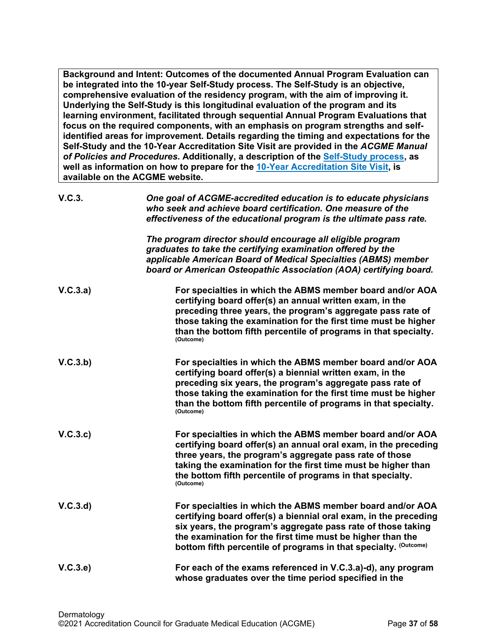**Background and Intent: Outcomes of the documented Annual Program Evaluation can be integrated into the 10-year Self-Study process. The Self-Study is an objective, comprehensive evaluation of the residency program, with the aim of improving it. Underlying the Self-Study is this longitudinal evaluation of the program and its learning environment, facilitated through sequential Annual Program Evaluations that focus on the required components, with an emphasis on program strengths and selfidentified areas for improvement. Details regarding the timing and expectations for the Self-Study and the 10-Year Accreditation Site Visit are provided in the** *ACGME Manual of Policies and Procedures***. Additionally, a description of the [Self-Study process,](http://acgme.org/What-We-Do/Accreditation/Self-Study) as well as information on how to prepare for the [10-Year Accreditation Site Visit,](http://www.acgme.org/What-We-Do/Accreditation/Site-Visit/Eight-Steps-to-Prepare-for-the-10-Year-Accreditation-Site-Visit) is available on the ACGME website.**

| V.C.3.   | One goal of ACGME-accredited education is to educate physicians<br>who seek and achieve board certification. One measure of the<br>effectiveness of the educational program is the ultimate pass rate.                                                                                                                                 |
|----------|----------------------------------------------------------------------------------------------------------------------------------------------------------------------------------------------------------------------------------------------------------------------------------------------------------------------------------------|
|          | The program director should encourage all eligible program<br>graduates to take the certifying examination offered by the<br>applicable American Board of Medical Specialties (ABMS) member<br>board or American Osteopathic Association (AOA) certifying board.                                                                       |
| V.C.3.a) | For specialties in which the ABMS member board and/or AOA<br>certifying board offer(s) an annual written exam, in the<br>preceding three years, the program's aggregate pass rate of<br>those taking the examination for the first time must be higher<br>than the bottom fifth percentile of programs in that specialty.<br>(Outcome) |
| V.C.3.b) | For specialties in which the ABMS member board and/or AOA<br>certifying board offer(s) a biennial written exam, in the<br>preceding six years, the program's aggregate pass rate of<br>those taking the examination for the first time must be higher<br>than the bottom fifth percentile of programs in that specialty.<br>(Outcome)  |
| V.C.3.c) | For specialties in which the ABMS member board and/or AOA<br>certifying board offer(s) an annual oral exam, in the preceding<br>three years, the program's aggregate pass rate of those<br>taking the examination for the first time must be higher than<br>the bottom fifth percentile of programs in that specialty.<br>(Outcome)    |
| V.C.3.d  | For specialties in which the ABMS member board and/or AOA<br>certifying board offer(s) a biennial oral exam, in the preceding<br>six years, the program's aggregate pass rate of those taking<br>the examination for the first time must be higher than the<br>bottom fifth percentile of programs in that specialty. (Outcome)        |
| V.C.3.e  | For each of the exams referenced in V.C.3.a)-d), any program<br>whose graduates over the time period specified in the                                                                                                                                                                                                                  |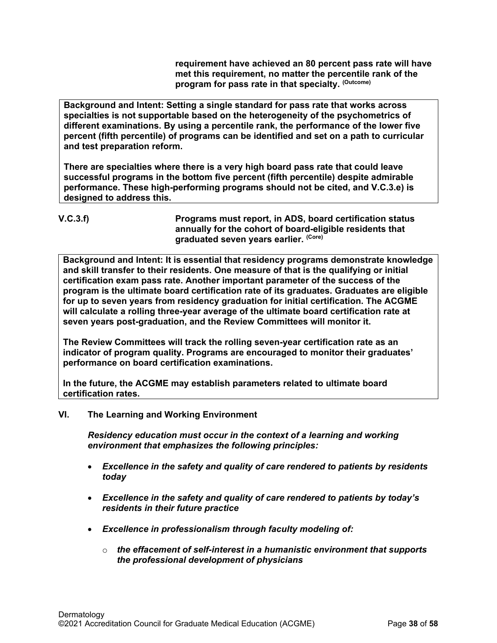**requirement have achieved an 80 percent pass rate will have met this requirement, no matter the percentile rank of the program for pass rate in that specialty. (Outcome)**

**Background and Intent: Setting a single standard for pass rate that works across specialties is not supportable based on the heterogeneity of the psychometrics of different examinations. By using a percentile rank, the performance of the lower five percent (fifth percentile) of programs can be identified and set on a path to curricular and test preparation reform.**

**There are specialties where there is a very high board pass rate that could leave successful programs in the bottom five percent (fifth percentile) despite admirable performance. These high-performing programs should not be cited, and V.C.3.e) is designed to address this.**

```
V.C.3.f) Programs must report, in ADS, board certification status 
                         annually for the cohort of board-eligible residents that 
                         graduated seven years earlier. (Core)
```
**Background and Intent: It is essential that residency programs demonstrate knowledge and skill transfer to their residents. One measure of that is the qualifying or initial certification exam pass rate. Another important parameter of the success of the program is the ultimate board certification rate of its graduates. Graduates are eligible for up to seven years from residency graduation for initial certification. The ACGME will calculate a rolling three-year average of the ultimate board certification rate at seven years post-graduation, and the Review Committees will monitor it.**

**The Review Committees will track the rolling seven-year certification rate as an indicator of program quality. Programs are encouraged to monitor their graduates' performance on board certification examinations.**

**In the future, the ACGME may establish parameters related to ultimate board certification rates.**

# <span id="page-37-0"></span>**VI. The Learning and Working Environment**

*Residency education must occur in the context of a learning and working environment that emphasizes the following principles:*

- *Excellence in the safety and quality of care rendered to patients by residents today*
- *Excellence in the safety and quality of care rendered to patients by today's residents in their future practice*
- *Excellence in professionalism through faculty modeling of:*
	- o *the effacement of self-interest in a humanistic environment that supports the professional development of physicians*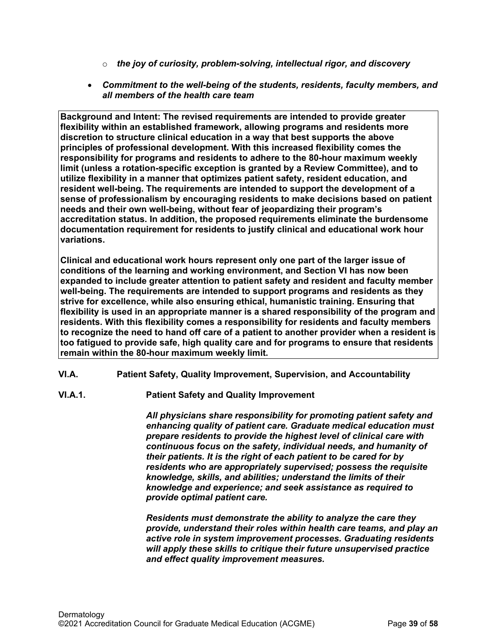- o *the joy of curiosity, problem-solving, intellectual rigor, and discovery*
- *Commitment to the well-being of the students, residents, faculty members, and all members of the health care team*

**Background and Intent: The revised requirements are intended to provide greater flexibility within an established framework, allowing programs and residents more discretion to structure clinical education in a way that best supports the above principles of professional development. With this increased flexibility comes the responsibility for programs and residents to adhere to the 80-hour maximum weekly limit (unless a rotation-specific exception is granted by a Review Committee), and to utilize flexibility in a manner that optimizes patient safety, resident education, and resident well-being. The requirements are intended to support the development of a sense of professionalism by encouraging residents to make decisions based on patient needs and their own well-being, without fear of jeopardizing their program's accreditation status. In addition, the proposed requirements eliminate the burdensome documentation requirement for residents to justify clinical and educational work hour variations.**

**Clinical and educational work hours represent only one part of the larger issue of conditions of the learning and working environment, and Section VI has now been expanded to include greater attention to patient safety and resident and faculty member well-being. The requirements are intended to support programs and residents as they strive for excellence, while also ensuring ethical, humanistic training. Ensuring that flexibility is used in an appropriate manner is a shared responsibility of the program and residents. With this flexibility comes a responsibility for residents and faculty members to recognize the need to hand off care of a patient to another provider when a resident is too fatigued to provide safe, high quality care and for programs to ensure that residents remain within the 80-hour maximum weekly limit.**

- <span id="page-38-0"></span>**VI.A. Patient Safety, Quality Improvement, Supervision, and Accountability**
- **VI.A.1. Patient Safety and Quality Improvement**

*All physicians share responsibility for promoting patient safety and enhancing quality of patient care. Graduate medical education must prepare residents to provide the highest level of clinical care with continuous focus on the safety, individual needs, and humanity of their patients. It is the right of each patient to be cared for by residents who are appropriately supervised; possess the requisite knowledge, skills, and abilities; understand the limits of their knowledge and experience; and seek assistance as required to provide optimal patient care.*

*Residents must demonstrate the ability to analyze the care they provide, understand their roles within health care teams, and play an active role in system improvement processes. Graduating residents will apply these skills to critique their future unsupervised practice and effect quality improvement measures.*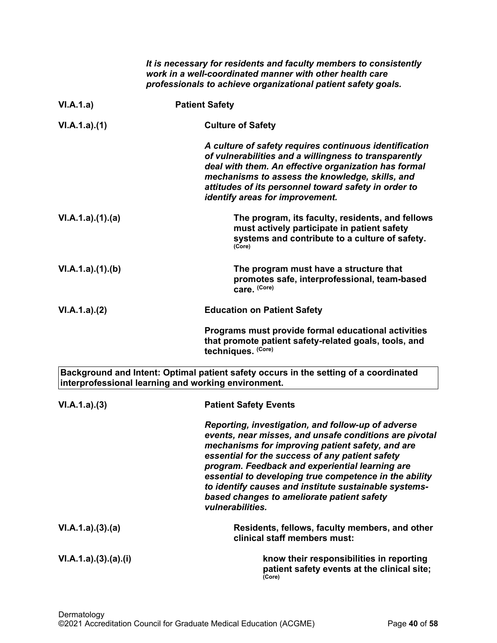|                       | It is necessary for residents and faculty members to consistently<br>work in a well-coordinated manner with other health care<br>professionals to achieve organizational patient safety goals.                                                                                                                                                                                                                                                              |
|-----------------------|-------------------------------------------------------------------------------------------------------------------------------------------------------------------------------------------------------------------------------------------------------------------------------------------------------------------------------------------------------------------------------------------------------------------------------------------------------------|
| VI.A.1.a)             | <b>Patient Safety</b>                                                                                                                                                                                                                                                                                                                                                                                                                                       |
| VI.A.1.a)(1)          | <b>Culture of Safety</b>                                                                                                                                                                                                                                                                                                                                                                                                                                    |
|                       | A culture of safety requires continuous identification<br>of vulnerabilities and a willingness to transparently<br>deal with them. An effective organization has formal<br>mechanisms to assess the knowledge, skills, and<br>attitudes of its personnel toward safety in order to<br>identify areas for improvement.                                                                                                                                       |
| VI.A.1.a)(1)(a)       | The program, its faculty, residents, and fellows<br>must actively participate in patient safety<br>systems and contribute to a culture of safety.<br>(Core)                                                                                                                                                                                                                                                                                                 |
| VI.A.1.a)(1)(b)       | The program must have a structure that<br>promotes safe, interprofessional, team-based<br>care. (Core)                                                                                                                                                                                                                                                                                                                                                      |
| VI.A.1.a)(2)          | <b>Education on Patient Safety</b>                                                                                                                                                                                                                                                                                                                                                                                                                          |
|                       | Programs must provide formal educational activities<br>that promote patient safety-related goals, tools, and<br>techniques. (Core)                                                                                                                                                                                                                                                                                                                          |
|                       | Background and Intent: Optimal patient safety occurs in the setting of a coordinated<br>interprofessional learning and working environment.                                                                                                                                                                                                                                                                                                                 |
| VI.A.1.a)(3)          | <b>Patient Safety Events</b>                                                                                                                                                                                                                                                                                                                                                                                                                                |
|                       | Reporting, investigation, and follow-up of adverse<br>events, near misses, and unsafe conditions are pivotal<br>mechanisms for improving patient safety, and are<br>essential for the success of any patient safety<br>program. Feedback and experiential learning are<br>essential to developing true competence in the ability<br>to identify causes and institute sustainable systems-<br>based changes to ameliorate patient safety<br>vulnerabilities. |
| VI.A.1.a)(3)(a)       | Residents, fellows, faculty members, and other<br>clinical staff members must:                                                                                                                                                                                                                                                                                                                                                                              |
| VI.A.1.a).(3).(a).(i) | know their responsibilities in reporting<br>patient safety events at the clinical site;<br>(Core)                                                                                                                                                                                                                                                                                                                                                           |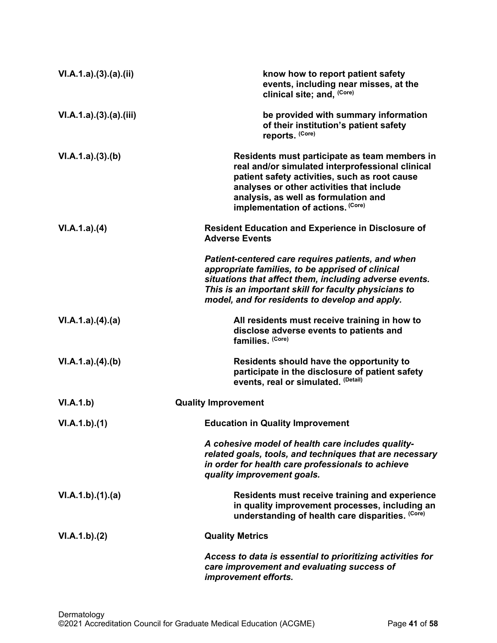| VI.A.1.a).(3).(a).(ii) | know how to report patient safety<br>events, including near misses, at the<br>clinical site; and, (Core)                                                                                                                                                                     |
|------------------------|------------------------------------------------------------------------------------------------------------------------------------------------------------------------------------------------------------------------------------------------------------------------------|
| VI.A.1.a)(3).(a).(iii) | be provided with summary information<br>of their institution's patient safety<br>reports. (Core)                                                                                                                                                                             |
| VI.A.1.a)(3)(b)        | Residents must participate as team members in<br>real and/or simulated interprofessional clinical<br>patient safety activities, such as root cause<br>analyses or other activities that include<br>analysis, as well as formulation and<br>implementation of actions. (Core) |
| VI.A.1.a)(4)           | <b>Resident Education and Experience in Disclosure of</b><br><b>Adverse Events</b>                                                                                                                                                                                           |
|                        | Patient-centered care requires patients, and when<br>appropriate families, to be apprised of clinical<br>situations that affect them, including adverse events.<br>This is an important skill for faculty physicians to<br>model, and for residents to develop and apply.    |
| VI.A.1.a)(4)(a)        | All residents must receive training in how to<br>disclose adverse events to patients and<br>families. (Core)                                                                                                                                                                 |
| VI.A.1.a)(4)(b)        | Residents should have the opportunity to<br>participate in the disclosure of patient safety<br>events, real or simulated. (Detail)                                                                                                                                           |
| VI.A.1.b)              | <b>Quality Improvement</b>                                                                                                                                                                                                                                                   |
| VI.A.1.b)(1)           | <b>Education in Quality Improvement</b>                                                                                                                                                                                                                                      |
|                        | A cohesive model of health care includes quality-<br>related goals, tools, and techniques that are necessary<br>in order for health care professionals to achieve<br>quality improvement goals.                                                                              |
| VI.A.1.b)(1).(a)       | Residents must receive training and experience<br>in quality improvement processes, including an<br>understanding of health care disparities. (Core)                                                                                                                         |
| VI.A.1.b)(2)           | <b>Quality Metrics</b>                                                                                                                                                                                                                                                       |
|                        | Access to data is essential to prioritizing activities for<br>care improvement and evaluating success of<br>improvement efforts.                                                                                                                                             |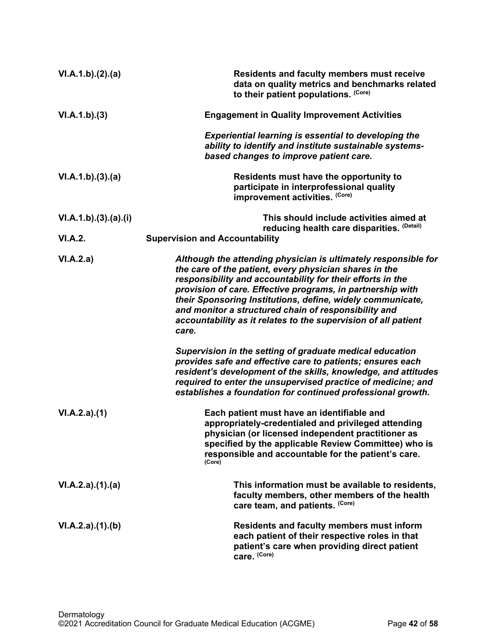| VI.A.1.b)(2).(a)     | Residents and faculty members must receive<br>data on quality metrics and benchmarks related<br>to their patient populations. (Core)                                                                                                                                                                                                                                                                                                                  |
|----------------------|-------------------------------------------------------------------------------------------------------------------------------------------------------------------------------------------------------------------------------------------------------------------------------------------------------------------------------------------------------------------------------------------------------------------------------------------------------|
| VI.A.1.b)(3)         | <b>Engagement in Quality Improvement Activities</b>                                                                                                                                                                                                                                                                                                                                                                                                   |
|                      | <b>Experiential learning is essential to developing the</b><br>ability to identify and institute sustainable systems-<br>based changes to improve patient care.                                                                                                                                                                                                                                                                                       |
| VI.A.1.b)(3).(a)     | Residents must have the opportunity to<br>participate in interprofessional quality<br>improvement activities. (Core)                                                                                                                                                                                                                                                                                                                                  |
| VI.A.1.b)(3).(a).(i) | This should include activities aimed at<br>reducing health care disparities. (Detail)                                                                                                                                                                                                                                                                                                                                                                 |
| <b>VI.A.2.</b>       | <b>Supervision and Accountability</b>                                                                                                                                                                                                                                                                                                                                                                                                                 |
| VI.A.2.a)            | Although the attending physician is ultimately responsible for<br>the care of the patient, every physician shares in the<br>responsibility and accountability for their efforts in the<br>provision of care. Effective programs, in partnership with<br>their Sponsoring Institutions, define, widely communicate,<br>and monitor a structured chain of responsibility and<br>accountability as it relates to the supervision of all patient<br>care. |
|                      | Supervision in the setting of graduate medical education<br>provides safe and effective care to patients; ensures each<br>resident's development of the skills, knowledge, and attitudes<br>required to enter the unsupervised practice of medicine; and<br>establishes a foundation for continued professional growth.                                                                                                                               |
| VI.A.2.a)(1)         | Each patient must have an identifiable and<br>appropriately-credentialed and privileged attending<br>physician (or licensed independent practitioner as<br>specified by the applicable Review Committee) who is<br>responsible and accountable for the patient's care.<br>(Core)                                                                                                                                                                      |
| VI.A.2.a)(1).(a)     | This information must be available to residents,<br>faculty members, other members of the health<br>care team, and patients. (Core)                                                                                                                                                                                                                                                                                                                   |
| VI.A.2.a)(1)(b)      | <b>Residents and faculty members must inform</b><br>each patient of their respective roles in that<br>patient's care when providing direct patient<br>care. (Core)                                                                                                                                                                                                                                                                                    |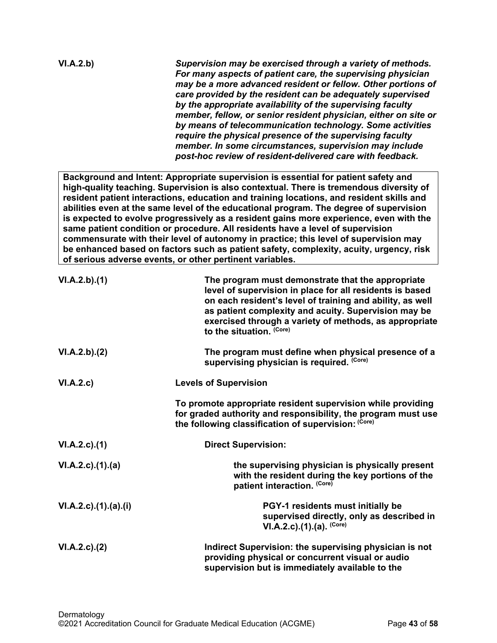| VI.A.2.b) | Supervision may be exercised through a variety of methods.<br>For many aspects of patient care, the supervising physician<br>may be a more advanced resident or fellow. Other portions of<br>care provided by the resident can be adequately supervised<br>by the appropriate availability of the supervising faculty<br>member, fellow, or senior resident physician, either on site or<br>by means of telecommunication technology. Some activities<br>require the physical presence of the supervising faculty |
|-----------|-------------------------------------------------------------------------------------------------------------------------------------------------------------------------------------------------------------------------------------------------------------------------------------------------------------------------------------------------------------------------------------------------------------------------------------------------------------------------------------------------------------------|
|           | member. In some circumstances, supervision may include<br>post-hoc review of resident-delivered care with feedback.                                                                                                                                                                                                                                                                                                                                                                                               |

**Background and Intent: Appropriate supervision is essential for patient safety and high-quality teaching. Supervision is also contextual. There is tremendous diversity of resident patient interactions, education and training locations, and resident skills and abilities even at the same level of the educational program. The degree of supervision is expected to evolve progressively as a resident gains more experience, even with the same patient condition or procedure. All residents have a level of supervision commensurate with their level of autonomy in practice; this level of supervision may be enhanced based on factors such as patient safety, complexity, acuity, urgency, risk of serious adverse events, or other pertinent variables.**

| VI.A.2.b)(1)                     | The program must demonstrate that the appropriate<br>level of supervision in place for all residents is based<br>on each resident's level of training and ability, as well<br>as patient complexity and acuity. Supervision may be<br>exercised through a variety of methods, as appropriate<br>to the situation. (Core) |
|----------------------------------|--------------------------------------------------------------------------------------------------------------------------------------------------------------------------------------------------------------------------------------------------------------------------------------------------------------------------|
| VI.A.2.b).(2)                    | The program must define when physical presence of a<br>supervising physician is required. (Core)                                                                                                                                                                                                                         |
| VI.A.2.c)                        | <b>Levels of Supervision</b>                                                                                                                                                                                                                                                                                             |
|                                  | To promote appropriate resident supervision while providing<br>for graded authority and responsibility, the program must use<br>the following classification of supervision: (Core)                                                                                                                                      |
| $VI.A.2.c$ . $(1)$               | <b>Direct Supervision:</b>                                                                                                                                                                                                                                                                                               |
| $VI.A.2.c$ . $(1).$ $(a)$        | the supervising physician is physically present<br>with the resident during the key portions of the<br>patient interaction. (Core)                                                                                                                                                                                       |
| $VI.A.2.c$ . $(1).$ $(a).$ $(i)$ | PGY-1 residents must initially be<br>supervised directly, only as described in<br>VI.A.2.c). $(1)$ . $(a)$ . $(Core)$                                                                                                                                                                                                    |
| $VI.A.2.c$ . $(2)$               | Indirect Supervision: the supervising physician is not<br>providing physical or concurrent visual or audio<br>supervision but is immediately available to the                                                                                                                                                            |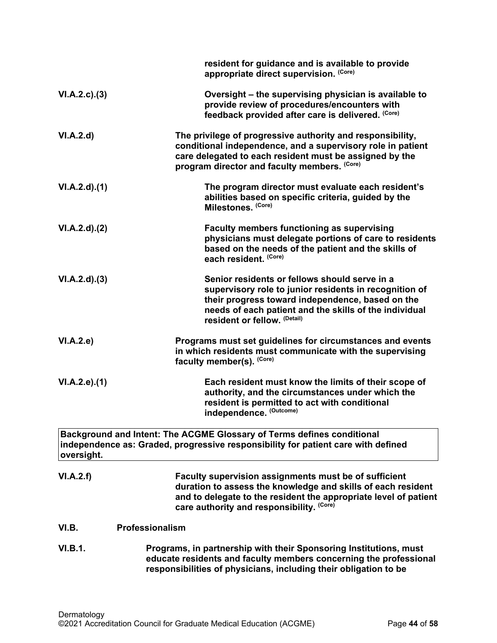<span id="page-43-0"></span>

|                     | resident for guidance and is available to provide<br>appropriate direct supervision. (Core)                                                                                                                                                           |
|---------------------|-------------------------------------------------------------------------------------------------------------------------------------------------------------------------------------------------------------------------------------------------------|
| VI.A.2.c.3)         | Oversight - the supervising physician is available to<br>provide review of procedures/encounters with<br>feedback provided after care is delivered. (Core)                                                                                            |
| VI.A.2.d            | The privilege of progressive authority and responsibility,<br>conditional independence, and a supervisory role in patient<br>care delegated to each resident must be assigned by the<br>program director and faculty members. (Core)                  |
| VI.A.2.d)(1)        | The program director must evaluate each resident's<br>abilities based on specific criteria, guided by the<br>Milestones. (Core)                                                                                                                       |
| VI.A.2.d).(2)       | <b>Faculty members functioning as supervising</b><br>physicians must delegate portions of care to residents<br>based on the needs of the patient and the skills of<br>each resident. (Core)                                                           |
| VI.A.2.d)(3)        | Senior residents or fellows should serve in a<br>supervisory role to junior residents in recognition of<br>their progress toward independence, based on the<br>needs of each patient and the skills of the individual<br>resident or fellow. (Detail) |
| VI.A.2.e)           | Programs must set guidelines for circumstances and events<br>in which residents must communicate with the supervising<br>faculty member(s). (Core)                                                                                                    |
| $VI.A.2.e$ ). $(1)$ | Each resident must know the limits of their scope of<br>authority, and the circumstances under which the<br>resident is permitted to act with conditional<br>independence. (Outcome)                                                                  |
| oversight.          | Background and Intent: The ACGME Glossary of Terms defines conditional<br>independence as: Graded, progressive responsibility for patient care with defined                                                                                           |
| VI.A.2.f)           | Faculty supervision assignments must be of sufficient<br>duration to assess the knowledge and skills of each resident<br>and to delegate to the resident the appropriate level of patient<br>care authority and responsibility. (Core)                |
| VI.B.               | Professionalism                                                                                                                                                                                                                                       |
| <b>VI.B.1.</b>      | Programs, in partnership with their Sponsoring Institutions, must<br>educate residents and faculty members concerning the professional<br>responsibilities of physicians, including their obligation to be                                            |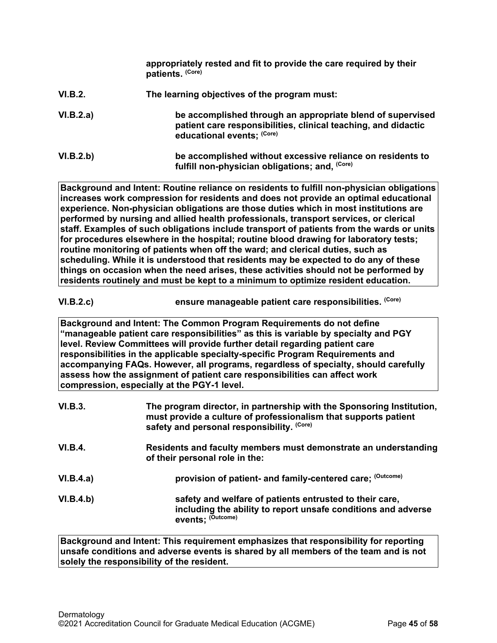|           | appropriately rested and fit to provide the care required by their<br>patients. (Core)                                                                     |
|-----------|------------------------------------------------------------------------------------------------------------------------------------------------------------|
| VI.B.2.   | The learning objectives of the program must:                                                                                                               |
| VI.B.2.a) | be accomplished through an appropriate blend of supervised<br>patient care responsibilities, clinical teaching, and didactic<br>educational events; (Core) |
| VI.B.2.b) | be accomplished without excessive reliance on residents to<br>fulfill non-physician obligations; and, (Core)                                               |

**Background and Intent: Routine reliance on residents to fulfill non-physician obligations increases work compression for residents and does not provide an optimal educational experience. Non-physician obligations are those duties which in most institutions are performed by nursing and allied health professionals, transport services, or clerical staff. Examples of such obligations include transport of patients from the wards or units for procedures elsewhere in the hospital; routine blood drawing for laboratory tests; routine monitoring of patients when off the ward; and clerical duties, such as scheduling. While it is understood that residents may be expected to do any of these things on occasion when the need arises, these activities should not be performed by residents routinely and must be kept to a minimum to optimize resident education.**

**VI.B.2.c) ensure manageable patient care responsibilities. (Core)**

**Background and Intent: The Common Program Requirements do not define "manageable patient care responsibilities" as this is variable by specialty and PGY level. Review Committees will provide further detail regarding patient care responsibilities in the applicable specialty-specific Program Requirements and accompanying FAQs. However, all programs, regardless of specialty, should carefully assess how the assignment of patient care responsibilities can affect work compression, especially at the PGY-1 level.**

| VI.B.3.        | The program director, in partnership with the Sponsoring Institution,<br>must provide a culture of professionalism that supports patient<br>safety and personal responsibility. (Core) |
|----------------|----------------------------------------------------------------------------------------------------------------------------------------------------------------------------------------|
| <b>VI.B.4.</b> | Residents and faculty members must demonstrate an understanding<br>of their personal role in the:                                                                                      |
| VI.B.4.a)      | provision of patient- and family-centered care; (Outcome)                                                                                                                              |
| VI.B.4.b)      | safety and welfare of patients entrusted to their care,<br>including the ability to report unsafe conditions and adverse<br>events: (Outcome)                                          |

**Background and Intent: This requirement emphasizes that responsibility for reporting unsafe conditions and adverse events is shared by all members of the team and is not solely the responsibility of the resident.**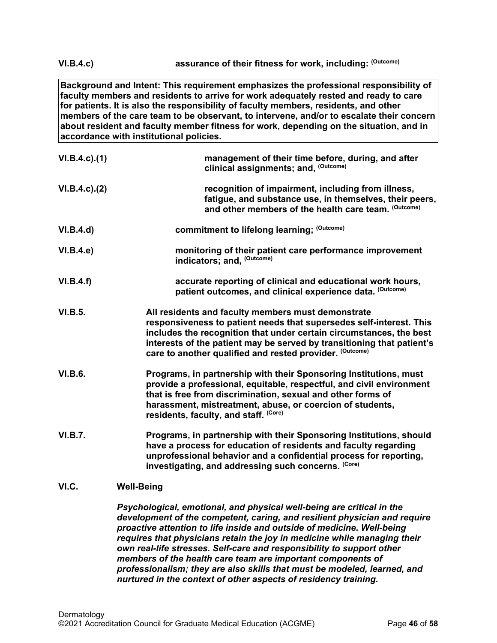**VI.B.4.c) assurance of their fitness for work, including: (Outcome)**

**Background and Intent: This requirement emphasizes the professional responsibility of faculty members and residents to arrive for work adequately rested and ready to care for patients. It is also the responsibility of faculty members, residents, and other members of the care team to be observant, to intervene, and/or to escalate their concern about resident and faculty member fitness for work, depending on the situation, and in accordance with institutional policies.**

| $VI.B.4.c$ ). $(1)$ | management of their time before, during, and after<br>clinical assignments; and, (Outcome)                                                                                                                                                                                                                                             |
|---------------------|----------------------------------------------------------------------------------------------------------------------------------------------------------------------------------------------------------------------------------------------------------------------------------------------------------------------------------------|
| $VI.B.4.c$ ). $(2)$ | recognition of impairment, including from illness,<br>fatigue, and substance use, in themselves, their peers,<br>and other members of the health care team. (Outcome)                                                                                                                                                                  |
| VI.B.4.d)           | commitment to lifelong learning; (Outcome)                                                                                                                                                                                                                                                                                             |
| VI.B.4.e)           | monitoring of their patient care performance improvement<br>indicators; and, (Outcome)                                                                                                                                                                                                                                                 |
| VI.B.4.f)           | accurate reporting of clinical and educational work hours,<br>patient outcomes, and clinical experience data. (Outcome)                                                                                                                                                                                                                |
| <b>VI.B.5.</b>      | All residents and faculty members must demonstrate<br>responsiveness to patient needs that supersedes self-interest. This<br>includes the recognition that under certain circumstances, the best<br>interests of the patient may be served by transitioning that patient's<br>care to another qualified and rested provider. (Outcome) |
| <b>VI.B.6.</b>      | Programs, in partnership with their Sponsoring Institutions, must<br>provide a professional, equitable, respectful, and civil environment<br>that is free from discrimination, sexual and other forms of<br>harassment, mistreatment, abuse, or coercion of students,<br>residents, faculty, and staff. (Core)                         |
| <b>VI.B.7.</b>      | Programs, in partnership with their Sponsoring Institutions, should<br>have a process for education of residents and faculty regarding<br>unprofessional behavior and a confidential process for reporting,<br>investigating, and addressing such concerns. (Core)                                                                     |
| VI.C.               | <b>Well-Being</b>                                                                                                                                                                                                                                                                                                                      |

<span id="page-45-0"></span>*Psychological, emotional, and physical well-being are critical in the development of the competent, caring, and resilient physician and require proactive attention to life inside and outside of medicine. Well-being requires that physicians retain the joy in medicine while managing their own real-life stresses. Self-care and responsibility to support other members of the health care team are important components of professionalism; they are also skills that must be modeled, learned, and nurtured in the context of other aspects of residency training.*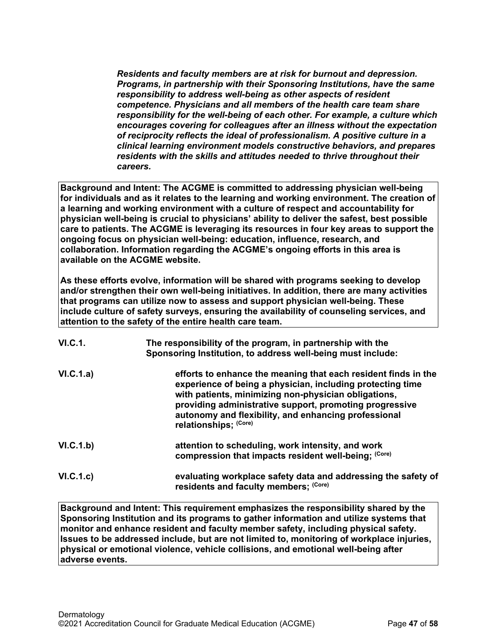*Residents and faculty members are at risk for burnout and depression. Programs, in partnership with their Sponsoring Institutions, have the same responsibility to address well-being as other aspects of resident competence. Physicians and all members of the health care team share responsibility for the well-being of each other. For example, a culture which encourages covering for colleagues after an illness without the expectation of reciprocity reflects the ideal of professionalism. A positive culture in a clinical learning environment models constructive behaviors, and prepares residents with the skills and attitudes needed to thrive throughout their careers.*

**Background and Intent: The ACGME is committed to addressing physician well-being for individuals and as it relates to the learning and working environment. The creation of a learning and working environment with a culture of respect and accountability for physician well-being is crucial to physicians' ability to deliver the safest, best possible care to patients. The ACGME is leveraging its resources in four key areas to support the ongoing focus on physician well-being: education, influence, research, and collaboration. Information regarding the ACGME's ongoing efforts in this area is available on the ACGME website.**

**As these efforts evolve, information will be shared with programs seeking to develop and/or strengthen their own well-being initiatives. In addition, there are many activities that programs can utilize now to assess and support physician well-being. These include culture of safety surveys, ensuring the availability of counseling services, and attention to the safety of the entire health care team.**

| <b>VI.C.1.</b> | The responsibility of the program, in partnership with the<br>Sponsoring Institution, to address well-being must include:                                                                                                                                                                                                        |
|----------------|----------------------------------------------------------------------------------------------------------------------------------------------------------------------------------------------------------------------------------------------------------------------------------------------------------------------------------|
| VI.C.1.a)      | efforts to enhance the meaning that each resident finds in the<br>experience of being a physician, including protecting time<br>with patients, minimizing non-physician obligations,<br>providing administrative support, promoting progressive<br>autonomy and flexibility, and enhancing professional<br>relationships: (Core) |
| VI.C.1.b)      | attention to scheduling, work intensity, and work<br>compression that impacts resident well-being; (Core)                                                                                                                                                                                                                        |
| VI.C.1.c)      | evaluating workplace safety data and addressing the safety of<br>residents and faculty members; (Core)                                                                                                                                                                                                                           |

**Background and Intent: This requirement emphasizes the responsibility shared by the Sponsoring Institution and its programs to gather information and utilize systems that monitor and enhance resident and faculty member safety, including physical safety. Issues to be addressed include, but are not limited to, monitoring of workplace injuries, physical or emotional violence, vehicle collisions, and emotional well-being after adverse events.**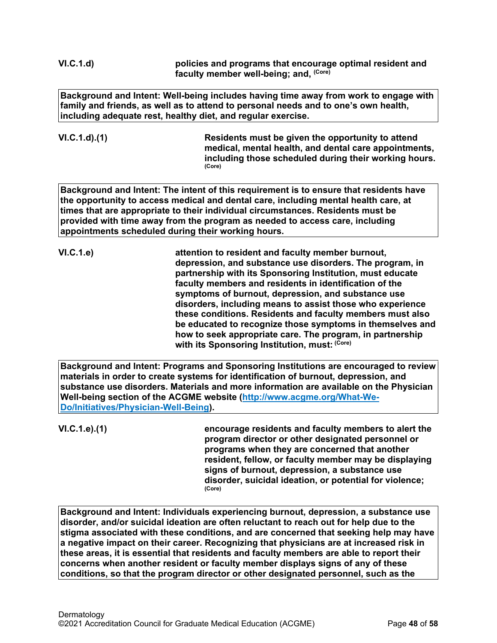**VI.C.1.d) policies and programs that encourage optimal resident and faculty member well-being; and, (Core)**

**Background and Intent: Well-being includes having time away from work to engage with family and friends, as well as to attend to personal needs and to one's own health, including adequate rest, healthy diet, and regular exercise.** 

**VI.C.1.d).(1) Residents must be given the opportunity to attend medical, mental health, and dental care appointments, including those scheduled during their working hours. (Core)**

**Background and Intent: The intent of this requirement is to ensure that residents have the opportunity to access medical and dental care, including mental health care, at times that are appropriate to their individual circumstances. Residents must be provided with time away from the program as needed to access care, including appointments scheduled during their working hours.**

**VI.C.1.e) attention to resident and faculty member burnout, depression, and substance use disorders. The program, in partnership with its Sponsoring Institution, must educate faculty members and residents in identification of the symptoms of burnout, depression, and substance use disorders, including means to assist those who experience these conditions. Residents and faculty members must also be educated to recognize those symptoms in themselves and how to seek appropriate care. The program, in partnership with its Sponsoring Institution, must: (Core)**

**Background and Intent: Programs and Sponsoring Institutions are encouraged to review materials in order to create systems for identification of burnout, depression, and substance use disorders. Materials and more information are available on the Physician Well-being section of the ACGME website [\(http://www.acgme.org/What-We-](http://www.acgme.org/What-We-Do/Initiatives/Physician-Well-Being)[Do/Initiatives/Physician-Well-Being\)](http://www.acgme.org/What-We-Do/Initiatives/Physician-Well-Being).**

**VI.C.1.e).(1) encourage residents and faculty members to alert the program director or other designated personnel or programs when they are concerned that another resident, fellow, or faculty member may be displaying signs of burnout, depression, a substance use disorder, suicidal ideation, or potential for violence; (Core)**

**Background and Intent: Individuals experiencing burnout, depression, a substance use disorder, and/or suicidal ideation are often reluctant to reach out for help due to the stigma associated with these conditions, and are concerned that seeking help may have a negative impact on their career. Recognizing that physicians are at increased risk in these areas, it is essential that residents and faculty members are able to report their concerns when another resident or faculty member displays signs of any of these conditions, so that the program director or other designated personnel, such as the**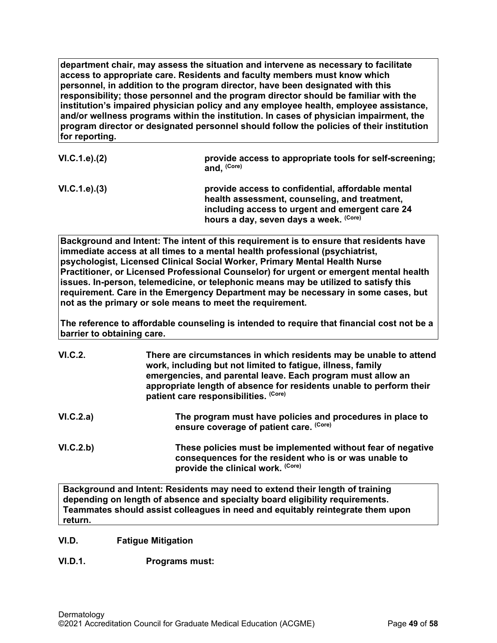**department chair, may assess the situation and intervene as necessary to facilitate access to appropriate care. Residents and faculty members must know which personnel, in addition to the program director, have been designated with this responsibility; those personnel and the program director should be familiar with the institution's impaired physician policy and any employee health, employee assistance, and/or wellness programs within the institution. In cases of physician impairment, the program director or designated personnel should follow the policies of their institution for reporting.**

| VI.C.1.e). (2) | provide access to appropriate tools for self-screening;<br>and, (Core)                                                                                                                          |
|----------------|-------------------------------------------------------------------------------------------------------------------------------------------------------------------------------------------------|
| VI.C.1.e). (3) | provide access to confidential, affordable mental<br>health assessment, counseling, and treatment,<br>including access to urgent and emergent care 24<br>hours a day, seven days a week. (Core) |

**Background and Intent: The intent of this requirement is to ensure that residents have immediate access at all times to a mental health professional (psychiatrist, psychologist, Licensed Clinical Social Worker, Primary Mental Health Nurse Practitioner, or Licensed Professional Counselor) for urgent or emergent mental health issues. In-person, telemedicine, or telephonic means may be utilized to satisfy this requirement. Care in the Emergency Department may be necessary in some cases, but not as the primary or sole means to meet the requirement.**

**The reference to affordable counseling is intended to require that financial cost not be a barrier to obtaining care.**

| VI.C.2.   | There are circumstances in which residents may be unable to attend<br>work, including but not limited to fatigue, illness, family<br>emergencies, and parental leave. Each program must allow an<br>appropriate length of absence for residents unable to perform their<br>patient care responsibilities. (Core) |
|-----------|------------------------------------------------------------------------------------------------------------------------------------------------------------------------------------------------------------------------------------------------------------------------------------------------------------------|
| VI.C.2.a) | The program must have policies and procedures in place to<br>ensure coverage of patient care. (Core)                                                                                                                                                                                                             |
| VI.C.2.b) | These policies must be implemented without fear of negative<br>consequences for the resident who is or was unable to<br>provide the clinical work. (Core)                                                                                                                                                        |

**Background and Intent: Residents may need to extend their length of training depending on length of absence and specialty board eligibility requirements. Teammates should assist colleagues in need and equitably reintegrate them upon return.**

# <span id="page-48-0"></span>**VI.D. Fatigue Mitigation**

# **VI.D.1. Programs must:**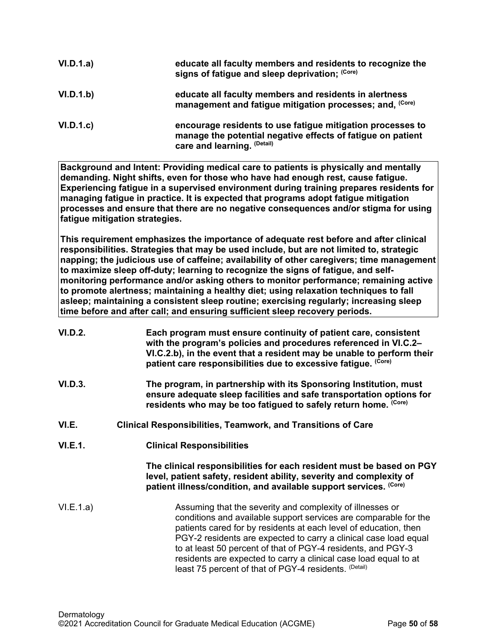| VI.D.1.a) | educate all faculty members and residents to recognize the<br>signs of fatigue and sleep deprivation; (Core)                                             |
|-----------|----------------------------------------------------------------------------------------------------------------------------------------------------------|
| VI.D.1.b) | educate all faculty members and residents in alertness<br>management and fatigue mitigation processes; and, (Core)                                       |
| VI.D.1.c  | encourage residents to use fatigue mitigation processes to<br>manage the potential negative effects of fatigue on patient<br>care and learning. (Detail) |

**Background and Intent: Providing medical care to patients is physically and mentally demanding. Night shifts, even for those who have had enough rest, cause fatigue. Experiencing fatigue in a supervised environment during training prepares residents for managing fatigue in practice. It is expected that programs adopt fatigue mitigation processes and ensure that there are no negative consequences and/or stigma for using fatigue mitigation strategies.**

**This requirement emphasizes the importance of adequate rest before and after clinical responsibilities. Strategies that may be used include, but are not limited to, strategic napping; the judicious use of caffeine; availability of other caregivers; time management to maximize sleep off-duty; learning to recognize the signs of fatigue, and selfmonitoring performance and/or asking others to monitor performance; remaining active to promote alertness; maintaining a healthy diet; using relaxation techniques to fall asleep; maintaining a consistent sleep routine; exercising regularly; increasing sleep time before and after call; and ensuring sufficient sleep recovery periods.**

<span id="page-49-0"></span>

| <b>VI.D.2.</b> | Each program must ensure continuity of patient care, consistent<br>with the program's policies and procedures referenced in VI.C.2-<br>VI.C.2.b), in the event that a resident may be unable to perform their<br>patient care responsibilities due to excessive fatigue. (Core)                                                                                                                                                                                    |
|----------------|--------------------------------------------------------------------------------------------------------------------------------------------------------------------------------------------------------------------------------------------------------------------------------------------------------------------------------------------------------------------------------------------------------------------------------------------------------------------|
| VI.D.3.        | The program, in partnership with its Sponsoring Institution, must<br>ensure adequate sleep facilities and safe transportation options for<br>residents who may be too fatigued to safely return home. (Core)                                                                                                                                                                                                                                                       |
| VI.E.          | Clinical Responsibilities, Teamwork, and Transitions of Care                                                                                                                                                                                                                                                                                                                                                                                                       |
| <b>VI.E.1.</b> | <b>Clinical Responsibilities</b>                                                                                                                                                                                                                                                                                                                                                                                                                                   |
|                | The clinical responsibilities for each resident must be based on PGY<br>level, patient safety, resident ability, severity and complexity of<br>patient illness/condition, and available support services. (Core)                                                                                                                                                                                                                                                   |
| VI.E.1.a)      | Assuming that the severity and complexity of illnesses or<br>conditions and available support services are comparable for the<br>patients cared for by residents at each level of education, then<br>PGY-2 residents are expected to carry a clinical case load equal<br>to at least 50 percent of that of PGY-4 residents, and PGY-3<br>residents are expected to carry a clinical case load equal to at<br>least 75 percent of that of PGY-4 residents. (Detail) |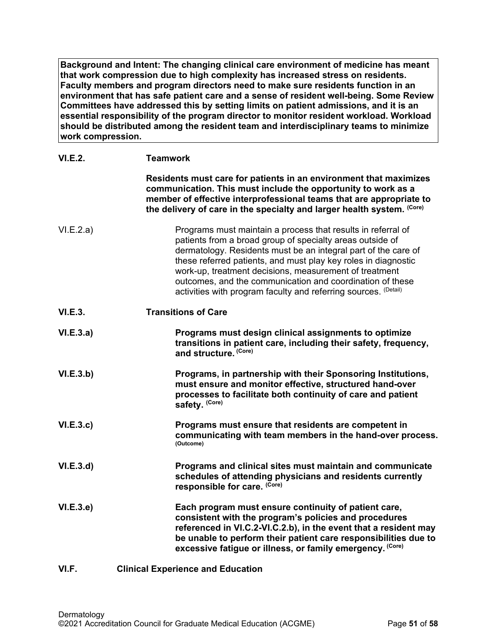**Background and Intent: The changing clinical care environment of medicine has meant that work compression due to high complexity has increased stress on residents. Faculty members and program directors need to make sure residents function in an environment that has safe patient care and a sense of resident well-being. Some Review Committees have addressed this by setting limits on patient admissions, and it is an essential responsibility of the program director to monitor resident workload. Workload should be distributed among the resident team and interdisciplinary teams to minimize work compression.**

<span id="page-50-0"></span>

| <b>VI.E.2.</b> | <b>Teamwork</b>                                                                                                                                                                                                                                                                                                                                                                                                                                         |
|----------------|---------------------------------------------------------------------------------------------------------------------------------------------------------------------------------------------------------------------------------------------------------------------------------------------------------------------------------------------------------------------------------------------------------------------------------------------------------|
|                | Residents must care for patients in an environment that maximizes<br>communication. This must include the opportunity to work as a<br>member of effective interprofessional teams that are appropriate to<br>the delivery of care in the specialty and larger health system. (Core)                                                                                                                                                                     |
| VI.E.2.a)      | Programs must maintain a process that results in referral of<br>patients from a broad group of specialty areas outside of<br>dermatology. Residents must be an integral part of the care of<br>these referred patients, and must play key roles in diagnostic<br>work-up, treatment decisions, measurement of treatment<br>outcomes, and the communication and coordination of these<br>activities with program faculty and referring sources. (Detail) |
| VI.E.3.        | <b>Transitions of Care</b>                                                                                                                                                                                                                                                                                                                                                                                                                              |
| VI.E.3.a)      | Programs must design clinical assignments to optimize<br>transitions in patient care, including their safety, frequency,<br>and structure. (Core)                                                                                                                                                                                                                                                                                                       |
| VI.E.3.b)      | Programs, in partnership with their Sponsoring Institutions,<br>must ensure and monitor effective, structured hand-over<br>processes to facilitate both continuity of care and patient<br>safety. (Core)                                                                                                                                                                                                                                                |
| VI.E.3.c       | Programs must ensure that residents are competent in<br>communicating with team members in the hand-over process.<br>(Outcome)                                                                                                                                                                                                                                                                                                                          |
| VI.E.3.d       | Programs and clinical sites must maintain and communicate<br>schedules of attending physicians and residents currently<br>responsible for care. (Core)                                                                                                                                                                                                                                                                                                  |
| VI.E.3.e       | Each program must ensure continuity of patient care,<br>consistent with the program's policies and procedures<br>referenced in VI.C.2-VI.C.2.b), in the event that a resident may<br>be unable to perform their patient care responsibilities due to<br>excessive fatigue or illness, or family emergency. (Core)                                                                                                                                       |
| VI.F.          | <b>Clinical Experience and Education</b>                                                                                                                                                                                                                                                                                                                                                                                                                |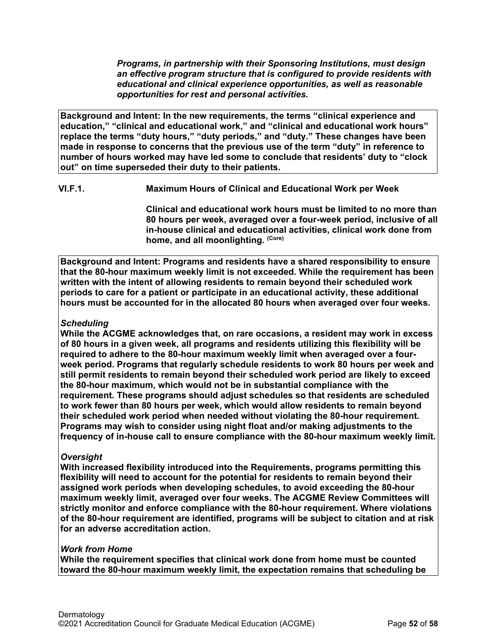*Programs, in partnership with their Sponsoring Institutions, must design an effective program structure that is configured to provide residents with educational and clinical experience opportunities, as well as reasonable opportunities for rest and personal activities.*

**Background and Intent: In the new requirements, the terms "clinical experience and education," "clinical and educational work," and "clinical and educational work hours" replace the terms "duty hours," "duty periods," and "duty." These changes have been made in response to concerns that the previous use of the term "duty" in reference to number of hours worked may have led some to conclude that residents' duty to "clock out" on time superseded their duty to their patients.**

**VI.F.1. Maximum Hours of Clinical and Educational Work per Week**

**Clinical and educational work hours must be limited to no more than 80 hours per week, averaged over a four-week period, inclusive of all in-house clinical and educational activities, clinical work done from home, and all moonlighting. (Core)**

**Background and Intent: Programs and residents have a shared responsibility to ensure that the 80-hour maximum weekly limit is not exceeded. While the requirement has been written with the intent of allowing residents to remain beyond their scheduled work periods to care for a patient or participate in an educational activity, these additional hours must be accounted for in the allocated 80 hours when averaged over four weeks.**

# *Scheduling*

**While the ACGME acknowledges that, on rare occasions, a resident may work in excess of 80 hours in a given week, all programs and residents utilizing this flexibility will be required to adhere to the 80-hour maximum weekly limit when averaged over a fourweek period. Programs that regularly schedule residents to work 80 hours per week and still permit residents to remain beyond their scheduled work period are likely to exceed the 80-hour maximum, which would not be in substantial compliance with the requirement. These programs should adjust schedules so that residents are scheduled to work fewer than 80 hours per week, which would allow residents to remain beyond their scheduled work period when needed without violating the 80-hour requirement. Programs may wish to consider using night float and/or making adjustments to the frequency of in-house call to ensure compliance with the 80-hour maximum weekly limit.**

# *Oversight*

**With increased flexibility introduced into the Requirements, programs permitting this flexibility will need to account for the potential for residents to remain beyond their assigned work periods when developing schedules, to avoid exceeding the 80-hour maximum weekly limit, averaged over four weeks. The ACGME Review Committees will strictly monitor and enforce compliance with the 80-hour requirement. Where violations of the 80-hour requirement are identified, programs will be subject to citation and at risk for an adverse accreditation action.**

# *Work from Home*

**While the requirement specifies that clinical work done from home must be counted toward the 80-hour maximum weekly limit, the expectation remains that scheduling be**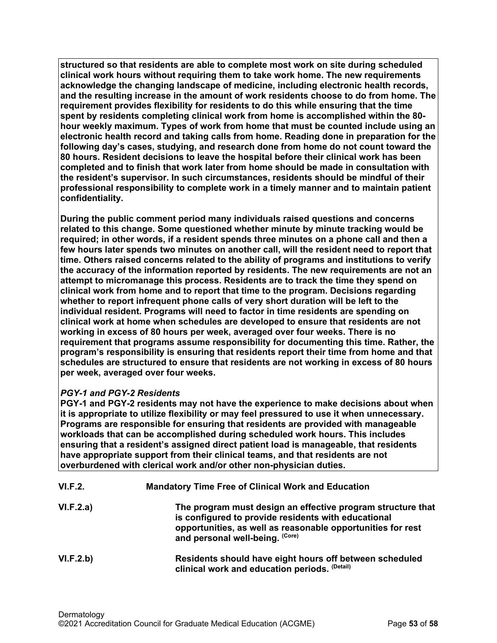**structured so that residents are able to complete most work on site during scheduled clinical work hours without requiring them to take work home. The new requirements acknowledge the changing landscape of medicine, including electronic health records, and the resulting increase in the amount of work residents choose to do from home. The requirement provides flexibility for residents to do this while ensuring that the time spent by residents completing clinical work from home is accomplished within the 80 hour weekly maximum. Types of work from home that must be counted include using an electronic health record and taking calls from home. Reading done in preparation for the following day's cases, studying, and research done from home do not count toward the 80 hours. Resident decisions to leave the hospital before their clinical work has been completed and to finish that work later from home should be made in consultation with the resident's supervisor. In such circumstances, residents should be mindful of their professional responsibility to complete work in a timely manner and to maintain patient confidentiality.**

**During the public comment period many individuals raised questions and concerns related to this change. Some questioned whether minute by minute tracking would be required; in other words, if a resident spends three minutes on a phone call and then a few hours later spends two minutes on another call, will the resident need to report that time. Others raised concerns related to the ability of programs and institutions to verify the accuracy of the information reported by residents. The new requirements are not an attempt to micromanage this process. Residents are to track the time they spend on clinical work from home and to report that time to the program. Decisions regarding whether to report infrequent phone calls of very short duration will be left to the individual resident. Programs will need to factor in time residents are spending on clinical work at home when schedules are developed to ensure that residents are not working in excess of 80 hours per week, averaged over four weeks. There is no requirement that programs assume responsibility for documenting this time. Rather, the program's responsibility is ensuring that residents report their time from home and that schedules are structured to ensure that residents are not working in excess of 80 hours per week, averaged over four weeks.**

# *PGY-1 and PGY-2 Residents*

**PGY-1 and PGY-2 residents may not have the experience to make decisions about when it is appropriate to utilize flexibility or may feel pressured to use it when unnecessary. Programs are responsible for ensuring that residents are provided with manageable workloads that can be accomplished during scheduled work hours. This includes ensuring that a resident's assigned direct patient load is manageable, that residents have appropriate support from their clinical teams, and that residents are not overburdened with clerical work and/or other non-physician duties.**

| VI.F.2.   | <b>Mandatory Time Free of Clinical Work and Education</b>                                                                                                                                                            |
|-----------|----------------------------------------------------------------------------------------------------------------------------------------------------------------------------------------------------------------------|
| VI.F.2.a) | The program must design an effective program structure that<br>is configured to provide residents with educational<br>opportunities, as well as reasonable opportunities for rest<br>and personal well-being. (Core) |
| VI.F.2.b) | Residents should have eight hours off between scheduled<br>clinical work and education periods. (Detail)                                                                                                             |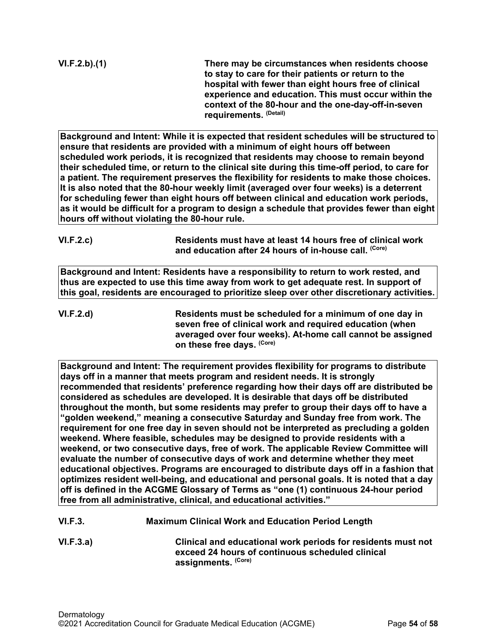**VI.F.2.b).(1) There may be circumstances when residents choose to stay to care for their patients or return to the hospital with fewer than eight hours free of clinical experience and education. This must occur within the context of the 80-hour and the one-day-off-in-seven requirements. (Detail)**

**Background and Intent: While it is expected that resident schedules will be structured to ensure that residents are provided with a minimum of eight hours off between scheduled work periods, it is recognized that residents may choose to remain beyond their scheduled time, or return to the clinical site during this time-off period, to care for a patient. The requirement preserves the flexibility for residents to make those choices. It is also noted that the 80-hour weekly limit (averaged over four weeks) is a deterrent for scheduling fewer than eight hours off between clinical and education work periods, as it would be difficult for a program to design a schedule that provides fewer than eight hours off without violating the 80-hour rule.**

| <b>VI.F.2.c)</b> | Residents must have at least 14 hours free of clinical work      |
|------------------|------------------------------------------------------------------|
|                  | and education after 24 hours of in-house call. <sup>(Core)</sup> |

**Background and Intent: Residents have a responsibility to return to work rested, and thus are expected to use this time away from work to get adequate rest. In support of this goal, residents are encouraged to prioritize sleep over other discretionary activities.**

**VI.F.2.d) Residents must be scheduled for a minimum of one day in seven free of clinical work and required education (when averaged over four weeks). At-home call cannot be assigned on these free days. (Core)**

**Background and Intent: The requirement provides flexibility for programs to distribute days off in a manner that meets program and resident needs. It is strongly recommended that residents' preference regarding how their days off are distributed be considered as schedules are developed. It is desirable that days off be distributed throughout the month, but some residents may prefer to group their days off to have a "golden weekend," meaning a consecutive Saturday and Sunday free from work. The requirement for one free day in seven should not be interpreted as precluding a golden weekend. Where feasible, schedules may be designed to provide residents with a weekend, or two consecutive days, free of work. The applicable Review Committee will evaluate the number of consecutive days of work and determine whether they meet educational objectives. Programs are encouraged to distribute days off in a fashion that optimizes resident well-being, and educational and personal goals. It is noted that a day off is defined in the ACGME Glossary of Terms as "one (1) continuous 24-hour period free from all administrative, clinical, and educational activities."**

- **VI.F.3. Maximum Clinical Work and Education Period Length**
- **VI.F.3.a) Clinical and educational work periods for residents must not exceed 24 hours of continuous scheduled clinical assignments. (Core)**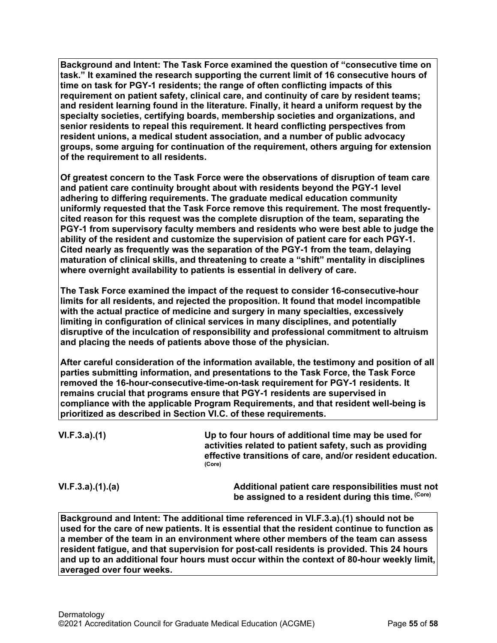**Background and Intent: The Task Force examined the question of "consecutive time on task." It examined the research supporting the current limit of 16 consecutive hours of time on task for PGY-1 residents; the range of often conflicting impacts of this requirement on patient safety, clinical care, and continuity of care by resident teams; and resident learning found in the literature. Finally, it heard a uniform request by the specialty societies, certifying boards, membership societies and organizations, and senior residents to repeal this requirement. It heard conflicting perspectives from resident unions, a medical student association, and a number of public advocacy groups, some arguing for continuation of the requirement, others arguing for extension of the requirement to all residents.**

**Of greatest concern to the Task Force were the observations of disruption of team care and patient care continuity brought about with residents beyond the PGY-1 level adhering to differing requirements. The graduate medical education community uniformly requested that the Task Force remove this requirement. The most frequentlycited reason for this request was the complete disruption of the team, separating the PGY-1 from supervisory faculty members and residents who were best able to judge the ability of the resident and customize the supervision of patient care for each PGY-1. Cited nearly as frequently was the separation of the PGY-1 from the team, delaying maturation of clinical skills, and threatening to create a "shift" mentality in disciplines where overnight availability to patients is essential in delivery of care.**

**The Task Force examined the impact of the request to consider 16-consecutive-hour limits for all residents, and rejected the proposition. It found that model incompatible with the actual practice of medicine and surgery in many specialties, excessively limiting in configuration of clinical services in many disciplines, and potentially disruptive of the inculcation of responsibility and professional commitment to altruism and placing the needs of patients above those of the physician.**

**After careful consideration of the information available, the testimony and position of all parties submitting information, and presentations to the Task Force, the Task Force removed the 16-hour-consecutive-time-on-task requirement for PGY-1 residents. It remains crucial that programs ensure that PGY-1 residents are supervised in compliance with the applicable Program Requirements, and that resident well-being is prioritized as described in Section VI.C. of these requirements.**

**VI.F.3.a).(1) Up to four hours of additional time may be used for activities related to patient safety, such as providing effective transitions of care, and/or resident education. (Core)**

**VI.F.3.a).(1).(a) Additional patient care responsibilities must not be assigned to a resident during this time. (Core)**

**Background and Intent: The additional time referenced in VI.F.3.a).(1) should not be used for the care of new patients. It is essential that the resident continue to function as a member of the team in an environment where other members of the team can assess resident fatigue, and that supervision for post-call residents is provided. This 24 hours and up to an additional four hours must occur within the context of 80-hour weekly limit, averaged over four weeks.**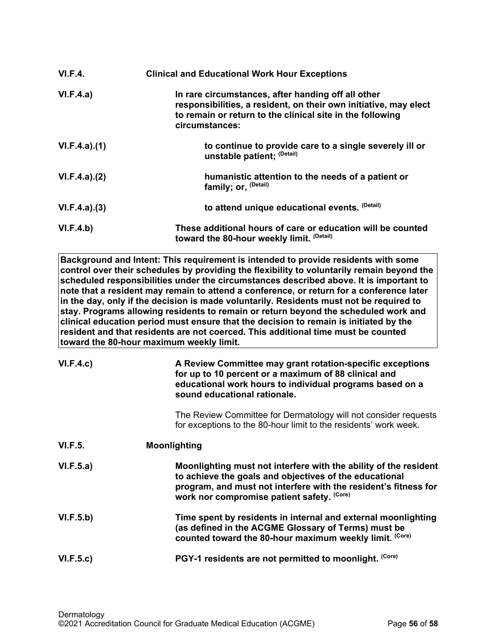| VI.F.4.      | <b>Clinical and Educational Work Hour Exceptions</b>                                                                                                                                                  |
|--------------|-------------------------------------------------------------------------------------------------------------------------------------------------------------------------------------------------------|
| VI.F.4.a)    | In rare circumstances, after handing off all other<br>responsibilities, a resident, on their own initiative, may elect<br>to remain or return to the clinical site in the following<br>circumstances: |
| VI.F.4.a)(1) | to continue to provide care to a single severely ill or<br>unstable patient; (Detail)                                                                                                                 |
| VI.F.4.a)(2) | humanistic attention to the needs of a patient or<br>family; or, (Detail)                                                                                                                             |
| VI.F.4.a)(3) | to attend unique educational events. (Detail)                                                                                                                                                         |
| VI.F.4.b)    | These additional hours of care or education will be counted<br>toward the 80-hour weekly limit. (Detail)                                                                                              |

**Background and Intent: This requirement is intended to provide residents with some control over their schedules by providing the flexibility to voluntarily remain beyond the scheduled responsibilities under the circumstances described above. It is important to note that a resident may remain to attend a conference, or return for a conference later in the day, only if the decision is made voluntarily. Residents must not be required to stay. Programs allowing residents to remain or return beyond the scheduled work and clinical education period must ensure that the decision to remain is initiated by the resident and that residents are not coerced. This additional time must be counted toward the 80-hour maximum weekly limit.**

| VI.F.4.c)      | A Review Committee may grant rotation-specific exceptions<br>for up to 10 percent or a maximum of 88 clinical and<br>educational work hours to individual programs based on a<br>sound educational rationale.                               |
|----------------|---------------------------------------------------------------------------------------------------------------------------------------------------------------------------------------------------------------------------------------------|
|                | The Review Committee for Dermatology will not consider requests<br>for exceptions to the 80-hour limit to the residents' work week.                                                                                                         |
| <b>VI.F.5.</b> | <b>Moonlighting</b>                                                                                                                                                                                                                         |
| VI.F.5.a)      | Moonlighting must not interfere with the ability of the resident<br>to achieve the goals and objectives of the educational<br>program, and must not interfere with the resident's fitness for<br>work nor compromise patient safety. (Core) |
| VI.F.5.b)      | Time spent by residents in internal and external moonlighting<br>(as defined in the ACGME Glossary of Terms) must be<br>counted toward the 80-hour maximum weekly limit. (Core)                                                             |
| VI.F.5.c)      | PGY-1 residents are not permitted to moonlight. (Core)                                                                                                                                                                                      |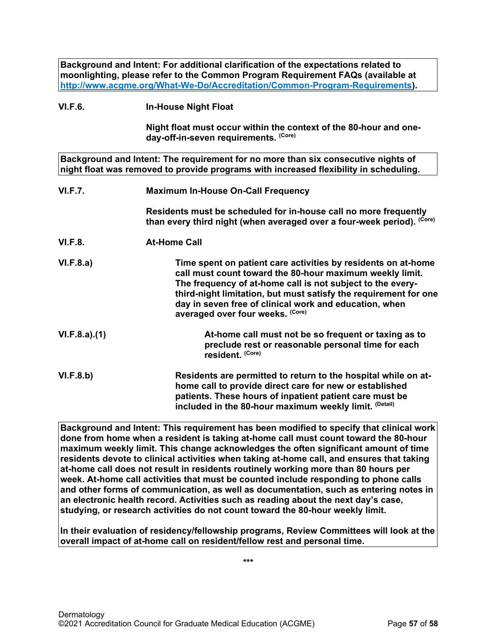**Background and Intent: For additional clarification of the expectations related to moonlighting, please refer to the Common Program Requirement FAQs (available at [http://www.acgme.org/What-We-Do/Accreditation/Common-Program-Requirements\)](http://www.acgme.org/What-We-Do/Accreditation/Common-Program-Requirements).**

## **VI.F.6. In-House Night Float**

**Night float must occur within the context of the 80-hour and oneday-off-in-seven requirements. (Core)**

**Background and Intent: The requirement for no more than six consecutive nights of night float was removed to provide programs with increased flexibility in scheduling.**

| <b>VI.F.7.</b> | <b>Maximum In-House On-Call Frequency</b>                                                                                                                                                                                                                                                                                                                 |
|----------------|-----------------------------------------------------------------------------------------------------------------------------------------------------------------------------------------------------------------------------------------------------------------------------------------------------------------------------------------------------------|
|                | Residents must be scheduled for in-house call no more frequently<br>than every third night (when averaged over a four-week period). (Core)                                                                                                                                                                                                                |
| <b>VI.F.8.</b> | <b>At-Home Call</b>                                                                                                                                                                                                                                                                                                                                       |
| VI.F.8.a)      | Time spent on patient care activities by residents on at-home<br>call must count toward the 80-hour maximum weekly limit.<br>The frequency of at-home call is not subject to the every-<br>third-night limitation, but must satisfy the requirement for one<br>day in seven free of clinical work and education, when<br>averaged over four weeks. (Core) |
| VI.F.8.a)(1)   | At-home call must not be so frequent or taxing as to<br>preclude rest or reasonable personal time for each<br>resident. (Core)                                                                                                                                                                                                                            |
| VI.F.8.b)      | Residents are permitted to return to the hospital while on at-<br>home call to provide direct care for new or established<br>patients. These hours of inpatient patient care must be                                                                                                                                                                      |

**Background and Intent: This requirement has been modified to specify that clinical work done from home when a resident is taking at-home call must count toward the 80-hour maximum weekly limit. This change acknowledges the often significant amount of time residents devote to clinical activities when taking at-home call, and ensures that taking at-home call does not result in residents routinely working more than 80 hours per week. At-home call activities that must be counted include responding to phone calls and other forms of communication, as well as documentation, such as entering notes in an electronic health record. Activities such as reading about the next day's case, studying, or research activities do not count toward the 80-hour weekly limit.**

**included in the 80-hour maximum weekly limit. (Detail)**

**In their evaluation of residency/fellowship programs, Review Committees will look at the overall impact of at-home call on resident/fellow rest and personal time.**

**\*\*\***